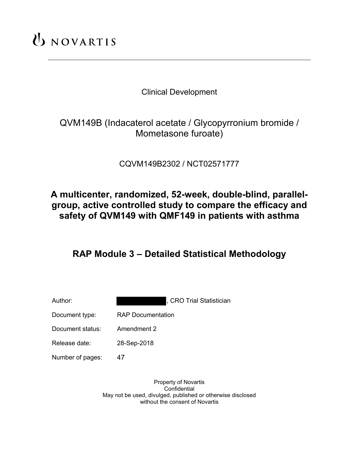# UNOVARTIS

## Clinical Development

# QVM149B (Indacaterol acetate / Glycopyrronium bromide / Mometasone furoate)

CQVM149B2302 / NCT02571777

# **A multicenter, randomized, 52-week, double-blind, parallelgroup, active controlled study to compare the efficacy and safety of QVM149 with QMF149 in patients with asthma**

# **RAP Module 3 – Detailed Statistical Methodology**

Author: **Author:** , CRO Trial Statistician Document type: RAP Documentation Document status: Amendment 2 Release date: 28-Sep-2018 Number of pages: 47

> Property of Novartis Confidential May not be used, divulged, published or otherwise disclosed without the consent of Novartis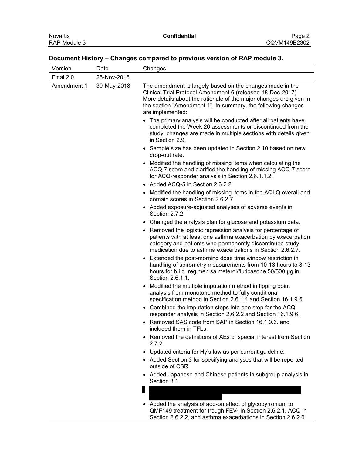| Version     | Date        | Changes                                                                                                                                                                                                                                                                            |
|-------------|-------------|------------------------------------------------------------------------------------------------------------------------------------------------------------------------------------------------------------------------------------------------------------------------------------|
| Final 2.0   | 25-Nov-2015 |                                                                                                                                                                                                                                                                                    |
| Amendment 1 | 30-May-2018 | The amendment is largely based on the changes made in the<br>Clinical Trial Protocol Amendment 6 (released 18-Dec-2017).<br>More details about the rationale of the major changes are given in<br>the section "Amendment 1". In summary, the following changes<br>are implemented: |
|             |             | • The primary analysis will be conducted after all patients have<br>completed the Week 26 assessments or discontinued from the<br>study; changes are made in multiple sections with details given<br>in Section 2.9.                                                               |
|             |             | • Sample size has been updated in Section 2.10 based on new<br>drop-out rate.                                                                                                                                                                                                      |
|             |             | • Modified the handling of missing items when calculating the<br>ACQ-7 score and clarified the handling of missing ACQ-7 score<br>for ACQ-responder analysis in Section 2.6.1.1.2.                                                                                                 |
|             |             | Added ACQ-5 in Section 2.6.2.2.<br>$\bullet$                                                                                                                                                                                                                                       |
|             |             | • Modified the handling of missing items in the AQLQ overall and<br>domain scores in Section 2.6.2.7.                                                                                                                                                                              |
|             |             | • Added exposure-adjusted analyses of adverse events in<br>Section 2.7.2.                                                                                                                                                                                                          |
|             |             | • Changed the analysis plan for glucose and potassium data.                                                                                                                                                                                                                        |
|             |             | • Removed the logistic regression analysis for percentage of<br>patients with at least one asthma exacerbation by exacerbation<br>category and patients who permanently discontinued study<br>medication due to asthma exacerbations in Section 2.6.2.7.                           |
|             |             | Extended the post-morning dose time window restriction in<br>٠<br>handling of spirometry measurements from 10-13 hours to 8-13<br>hours for b.i.d. regimen salmeterol/fluticasone 50/500 µg in<br>Section 2.6.1.1.                                                                 |
|             |             | Modified the multiple imputation method in tipping point<br>$\bullet$<br>analysis from monotone method to fully conditional<br>specification method in Section 2.6.1.4 and Section 16.1.9.6.                                                                                       |
|             |             | • Combined the imputation steps into one step for the ACQ<br>responder analysis in Section 2.6.2.2 and Section 16.1.9.6.                                                                                                                                                           |
|             |             | Removed SAS code from SAP in Section 16.1.9.6. and<br>included them in TFLs.                                                                                                                                                                                                       |

#### **Document History – Changes compared to previous version of RAP module 3.**

- Removed the definitions of AEs of special interest from Section 2.7.2.
- Updated criteria for Hy's law as per current guideline.

П

- Added Section 3 for specifying analyses that will be reported outside of CSR.
- Added Japanese and Chinese patients in subgroup analysis in Section 3.1.
- Added the analysis of add-on effect of glycopyrronium to QMF149 treatment for trough FEV<sub>1</sub> in Section 2.6.2.1, ACQ in Section 2.6.2.2, and asthma exacerbations in Section 2.6.2.6.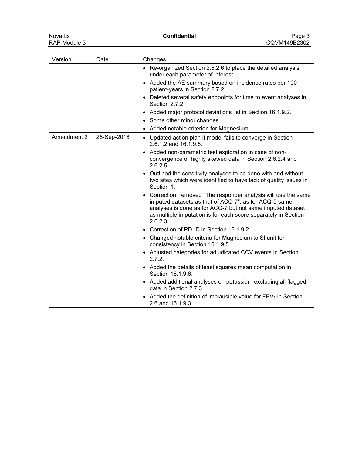| Version     | Date        | Changes                                                                                                                                                                                                                                                              |
|-------------|-------------|----------------------------------------------------------------------------------------------------------------------------------------------------------------------------------------------------------------------------------------------------------------------|
|             |             | • Re-organized Section 2.6.2.6 to place the detailed analysis<br>under each parameter of interest.                                                                                                                                                                   |
|             |             | • Added the AE summary based on incidence rates per 100<br>patient-years in Section 2.7.2.                                                                                                                                                                           |
|             |             | • Deleted several safety endpoints for time to event analyses in<br>Section 2.7.2.                                                                                                                                                                                   |
|             |             | • Added major protocol deviations list in Section 16.1.9.2.                                                                                                                                                                                                          |
|             |             | • Some other minor changes.                                                                                                                                                                                                                                          |
|             |             | • Added notable criterion for Magnesium.                                                                                                                                                                                                                             |
| Amendment 2 | 28-Sep-2018 | • Updated action plan if model fails to converge in Section<br>2.6.1.2 and 16.1.9.6.                                                                                                                                                                                 |
|             |             | • Added non-parametric test exploration in case of non-<br>convergence or highly skewed data in Section 2.6.2.4 and<br>2.6.2.5.                                                                                                                                      |
|             |             | Outlined the sensitivity analyses to be done with and without<br>two sites which were identified to have lack of quality issues in<br>Section 1.                                                                                                                     |
|             |             | • Correction, removed "The responder analysis will use the same<br>imputed datasets as that of ACQ-7", as for ACQ-5 same<br>analyses is done as for ACQ-7 but not same imputed dataset<br>as multiple imputation is for each score separately in Section<br>2.6.2.3. |
|             |             | • Correction of PD-ID in Section 16.1.9.2.                                                                                                                                                                                                                           |
|             |             | • Changed notable criteria for Magnesium to SI unit for<br>consistency in Section 16.1.9.5.                                                                                                                                                                          |
|             |             | • Adjusted categories for adjudicated CCV events in Section<br>2.7.2.                                                                                                                                                                                                |
|             |             | • Added the details of least squares mean computation in<br>Section 16.1.9.6.                                                                                                                                                                                        |
|             |             | • Added additional analyses on potassium excluding all flagged<br>data in Section 2.7.3.                                                                                                                                                                             |
|             |             | Added the definition of implausible value for $FEV1$ in Section<br>2.6 and 16.1.9.3.                                                                                                                                                                                 |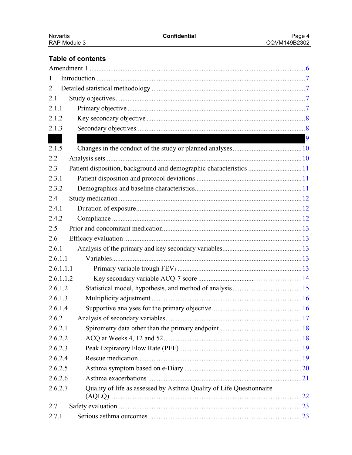## **Table of contents**

| 1                                                                              |   |
|--------------------------------------------------------------------------------|---|
| 2                                                                              |   |
| 2.1                                                                            |   |
| 2.1.1                                                                          |   |
| 2.1.2                                                                          |   |
| 2.1.3                                                                          |   |
|                                                                                | 9 |
| 2.1.5                                                                          |   |
| 2.2                                                                            |   |
| Patient disposition, background and demographic characteristics 11<br>2.3      |   |
| 2.3.1                                                                          |   |
| 2.3.2                                                                          |   |
| 2.4                                                                            |   |
| 2.4.1                                                                          |   |
| 2.4.2                                                                          |   |
| 2.5                                                                            |   |
| 2.6                                                                            |   |
| 2.6.1                                                                          |   |
| 2.6.1.1                                                                        |   |
| 2.6.1.1.1                                                                      |   |
| 2.6.1.1.2                                                                      |   |
| 2.6.1.2                                                                        |   |
| 2.6.1.3                                                                        |   |
| 2.6.1.4                                                                        |   |
| 2.6.2                                                                          |   |
| 2.6.2.1                                                                        |   |
| 2.6.2.2                                                                        |   |
| 2.6.2.3                                                                        |   |
| 2.6.2.4                                                                        |   |
| 2.6.2.5                                                                        |   |
| 2.6.2.6                                                                        |   |
| 2.6.2.7<br>Quality of life as assessed by Asthma Quality of Life Questionnaire |   |
|                                                                                |   |
| 2.7                                                                            |   |
| 2.7.1                                                                          |   |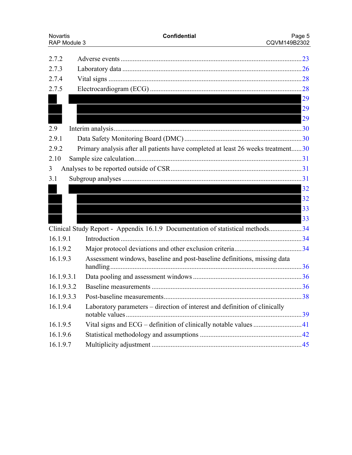| <b>Novartis</b><br>RAP Module 3 | <b>Confidential</b><br>CQVM149B2302                                              | Page 5 |
|---------------------------------|----------------------------------------------------------------------------------|--------|
|                                 |                                                                                  |        |
| 2.7.2                           |                                                                                  |        |
| 2.7.3                           |                                                                                  |        |
| 2.7.4                           |                                                                                  |        |
| 2.7.5                           |                                                                                  |        |
|                                 |                                                                                  | 29     |
|                                 |                                                                                  | 29     |
|                                 |                                                                                  | 29     |
| 2.9                             |                                                                                  |        |
| 2.9.1                           |                                                                                  |        |
| 2.9.2                           | Primary analysis after all patients have completed at least 26 weeks treatment30 |        |
| 2.10                            |                                                                                  |        |
| 3                               |                                                                                  |        |
| 3.1                             |                                                                                  |        |
|                                 |                                                                                  | 32     |
|                                 |                                                                                  | 32     |
|                                 |                                                                                  | 33     |
|                                 |                                                                                  | 33     |
|                                 | Clinical Study Report - Appendix 16.1.9 Documentation of statistical methods34   |        |
| 16.1.9.1                        |                                                                                  |        |
| 16.1.9.2                        |                                                                                  |        |
| 16.1.9.3                        | Assessment windows, baseline and post-baseline definitions, missing data         |        |
|                                 |                                                                                  |        |
| 16.1.9.3.1                      |                                                                                  |        |
| 16.1.9.3.2                      |                                                                                  |        |
| 16.1.9.3.3                      |                                                                                  |        |
| 16.1.9.4                        | Laboratory parameters - direction of interest and definition of clinically       |        |
| 16.1.9.5                        |                                                                                  |        |
| 16.1.9.6                        |                                                                                  |        |
| 16.1.9.7                        |                                                                                  |        |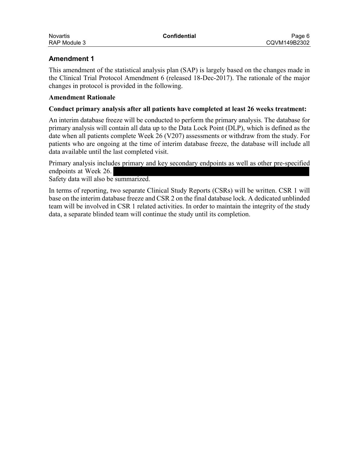#### <span id="page-5-0"></span>**Amendment 1**

This amendment of the statistical analysis plan (SAP) is largely based on the changes made in the Clinical Trial Protocol Amendment 6 (released 18-Dec-2017). The rationale of the major changes in protocol is provided in the following.

#### **Amendment Rationale**

#### **Conduct primary analysis after all patients have completed at least 26 weeks treatment:**

An interim database freeze will be conducted to perform the primary analysis. The database for primary analysis will contain all data up to the Data Lock Point (DLP), which is defined as the date when all patients complete Week 26 (V207) assessments or withdraw from the study. For patients who are ongoing at the time of interim database freeze, the database will include all data available until the last completed visit.

Primary analysis includes primary and key secondary endpoints as well as other pre-specified endpoints at Week 26.

Safety data will also be summarized.

In terms of reporting, two separate Clinical Study Reports (CSRs) will be written. CSR 1 will base on the interim database freeze and CSR 2 on the final database lock. A dedicated unblinded team will be involved in CSR 1 related activities. In order to maintain the integrity of the study data, a separate blinded team will continue the study until its completion.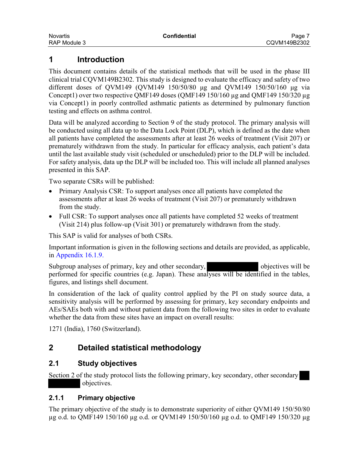## <span id="page-6-0"></span>**1 Introduction**

This document contains details of the statistical methods that will be used in the phase III clinical trial CQVM149B2302. This study is designed to evaluate the efficacy and safety of two different doses of QVM149 (QVM149 150/50/80 μg and QVM149 150/50/160 μg via Concept1) over two respective QMF149 doses (QMF149 150/160 µg and QMF149 150/320 µg via Concept1) in poorly controlled asthmatic patients as determined by pulmonary function testing and effects on asthma control.

Data will be analyzed according to Section 9 of the study protocol. The primary analysis will be conducted using all data up to the Data Lock Point (DLP), which is defined as the date when all patients have completed the assessments after at least 26 weeks of treatment (Visit 207) or prematurely withdrawn from the study. In particular for efficacy analysis, each patient's data until the last available study visit (scheduled or unscheduled) prior to the DLP will be included. For safety analysis, data up the DLP will be included too. This will include all planned analyses presented in this SAP.

Two separate CSRs will be published:

- Primary Analysis CSR: To support analyses once all patients have completed the assessments after at least 26 weeks of treatment (Visit 207) or prematurely withdrawn from the study.
- Full CSR: To support analyses once all patients have completed 52 weeks of treatment (Visit 214) plus follow-up (Visit 301) or prematurely withdrawn from the study.

This SAP is valid for analyses of both CSRs.

Important information is given in the following sections and details are provided, as applicable, in Appendix 16.1.9.

Subgroup analyses of primary, key and other secondary, see the subjectives will be performed for specific countries (e.g. Japan). These analyses will be identified in the tables, figures, and listings shell document.

In consideration of the lack of quality control applied by the PI on study source data, a sensitivity analysis will be performed by assessing for primary, key secondary endpoints and AEs/SAEs both with and without patient data from the following two sites in order to evaluate whether the data from these sites have an impact on overall results:

1271 (India), 1760 (Switzerland).

## **2 Detailed statistical methodology**

## **2.1 Study objectives**

Section 2 of the study protocol lists the following primary, key secondary, other secondary objectives.

## **2.1.1 Primary objective**

The primary objective of the study is to demonstrate superiority of either QVM149 150/50/80 µg o.d. to QMF149 150/160 µg o.d. or QVM149 150/50/160 µg o.d. to QMF149 150/320 µg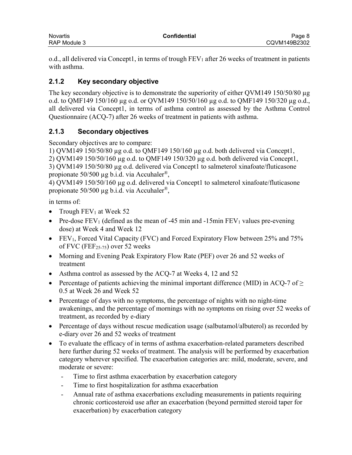<span id="page-7-0"></span>

| <b>Novartis</b> | <b>Confidential</b> | Page 8       |
|-----------------|---------------------|--------------|
| RAP Module 3    |                     | CQVM149B2302 |

o.d., all delivered via Concept1, in terms of trough  $FEV_1$  after 26 weeks of treatment in patients with asthma.

## **2.1.2 Key secondary objective**

The key secondary objective is to demonstrate the superiority of either  $QVM149 150/50/80 \mu g$ o.d. to QMF149 150/160 µg o.d. or QVM149 150/50/160 µg o.d. to QMF149 150/320 µg o.d., all delivered via Concept1, in terms of asthma control as assessed by the Asthma Control Questionnaire (ACQ-7) after 26 weeks of treatment in patients with asthma.

## **2.1.3 Secondary objectives**

Secondary objectives are to compare:

1) QVM149 150/50/80 µg o.d. to QMF149 150/160 µg o.d. both delivered via Concept1, 2) QVM149 150/50/160 µg o.d. to QMF149 150/320 µg o.d. both delivered via Concept1, 3) QVM149 150/50/80 µg o.d. delivered via Concept1 to salmeterol xinafoate/fluticasone propionate 50/500 µg b.i.d. via Accuhaler®,

4) QVM149 150/50/160 µg o.d. delivered via Concept1 to salmeterol xinafoate/fluticasone propionate 50/500 µg b.i.d. via Accuhaler®,

in terms of:

- Trough  $FEV_1$  at Week 52
- Pre-dose  $FEV_1$  (defined as the mean of -45 min and -15min  $FEV_1$  values pre-evening dose) at Week 4 and Week 12
- FEV<sub>1</sub>, Forced Vital Capacity (FVC) and Forced Expiratory Flow between 25% and 75% of FVC (FEF25-75) over 52 weeks
- Morning and Evening Peak Expiratory Flow Rate (PEF) over 26 and 52 weeks of treatment
- Asthma control as assessed by the ACQ-7 at Weeks 4, 12 and 52
- Percentage of patients achieving the minimal important difference (MID) in ACQ-7 of  $\geq$ 0.5 at Week 26 and Week 52
- Percentage of days with no symptoms, the percentage of nights with no night-time awakenings, and the percentage of mornings with no symptoms on rising over 52 weeks of treatment, as recorded by e-diary
- Percentage of days without rescue medication usage (salbutamol/albuterol) as recorded by e-diary over 26 and 52 weeks of treatment
- To evaluate the efficacy of in terms of asthma exacerbation-related parameters described here further during 52 weeks of treatment. The analysis will be performed by exacerbation category wherever specified. The exacerbation categories are: mild, moderate, severe, and moderate or severe:
	- Time to first asthma exacerbation by exacerbation category
	- Time to first hospitalization for asthma exacerbation
	- Annual rate of asthma exacerbations excluding measurements in patients requiring chronic corticosteroid use after an exacerbation (beyond permitted steroid taper for exacerbation) by exacerbation category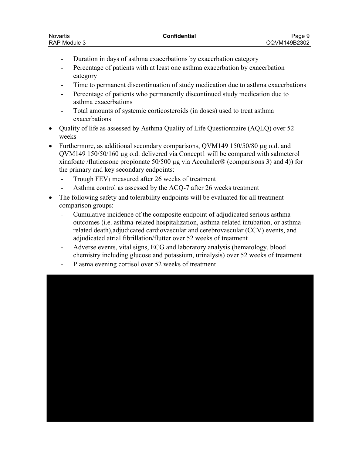- <span id="page-8-0"></span>Duration in days of asthma exacerbations by exacerbation category
- Percentage of patients with at least one asthma exacerbation by exacerbation category
- Time to permanent discontinuation of study medication due to asthma exacerbations
- Percentage of patients who permanently discontinued study medication due to asthma exacerbations
- Total amounts of systemic corticosteroids (in doses) used to treat asthma exacerbations
- Ouality of life as assessed by Asthma Quality of Life Questionnaire (AQLQ) over 52 weeks
- Furthermore, as additional secondary comparisons, QVM149 150/50/80 µg o.d. and QVM149 150/50/160 µg o.d. delivered via Concept1 will be compared with salmeterol xinafoate /fluticasone propionate 50/500 µg via Accuhaler® (comparisons 3) and 4)) for the primary and key secondary endpoints:
	- Trough  $FEV_1$  measured after 26 weeks of treatment
	- Asthma control as assessed by the ACO-7 after 26 weeks treatment
- The following safety and tolerability endpoints will be evaluated for all treatment comparison groups:
	- Cumulative incidence of the composite endpoint of adjudicated serious asthma outcomes (i.e. asthma-related hospitalization, asthma-related intubation, or asthmarelated death),adjudicated cardiovascular and cerebrovascular (CCV) events, and adjudicated atrial fibrillation/flutter over 52 weeks of treatment
	- Adverse events, vital signs, ECG and laboratory analysis (hematology, blood chemistry including glucose and potassium, urinalysis) over 52 weeks of treatment
	- Plasma evening cortisol over 52 weeks of treatment

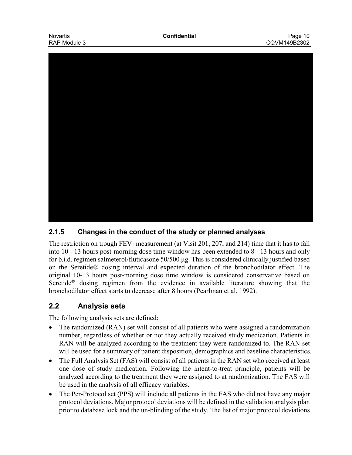<span id="page-9-0"></span>

## **2.1.5 Changes in the conduct of the study or planned analyses**

The restriction on trough  $FEV_1$  measurement (at Visit 201, 207, and 214) time that it has to fall into 10 - 13 hours post-morning dose time window has been extended to 8 - 13 hours and only for b.i.d. regimen salmeterol/fluticasone 50/500 μg. This is considered clinically justified based on the Seretide® dosing interval and expected duration of the bronchodilator effect. The original 10-13 hours post-morning dose time window is considered conservative based on Seretide® dosing regimen from the evidence in available literature showing that the bronchodilator effect starts to decrease after 8 hours (Pearlman et al. 1992).

## **2.2 Analysis sets**

The following analysis sets are defined:

- The randomized (RAN) set will consist of all patients who were assigned a randomization number, regardless of whether or not they actually received study medication. Patients in RAN will be analyzed according to the treatment they were randomized to. The RAN set will be used for a summary of patient disposition, demographics and baseline characteristics.
- The Full Analysis Set (FAS) will consist of all patients in the RAN set who received at least one dose of study medication. Following the intent-to-treat principle, patients will be analyzed according to the treatment they were assigned to at randomization. The FAS will be used in the analysis of all efficacy variables.
- The Per-Protocol set (PPS) will include all patients in the FAS who did not have any major protocol deviations. Major protocol deviations will be defined in the validation analysis plan prior to database lock and the un-blinding of the study. The list of major protocol deviations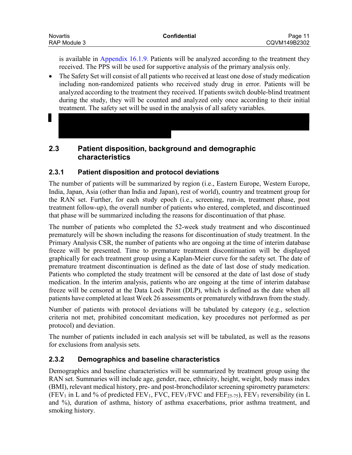<span id="page-10-0"></span>is available in Appendix 16.1.9. Patients will be analyzed according to the treatment they received. The PPS will be used for supportive analysis of the primary analysis only.

- The Safety Set will consist of all patients who received at least one dose of study medication including non-randomized patients who received study drug in error. Patients will be analyzed according to the treatment they received. If patients switch double-blind treatment during the study, they will be counted and analyzed only once according to their initial treatment. The safety set will be used in the analysis of all safety variables.
- П

## **2.3 Patient disposition, background and demographic characteristics**

## **2.3.1 Patient disposition and protocol deviations**

The number of patients will be summarized by region (i.e., Eastern Europe, Western Europe, India, Japan, Asia (other than India and Japan), rest of world), country and treatment group for the RAN set. Further, for each study epoch (i.e., screening, run-in, treatment phase, post treatment follow-up), the overall number of patients who entered, completed, and discontinued that phase will be summarized including the reasons for discontinuation of that phase.

The number of patients who completed the 52-week study treatment and who discontinued prematurely will be shown including the reasons for discontinuation of study treatment. In the Primary Analysis CSR, the number of patients who are ongoing at the time of interim database freeze will be presented. Time to premature treatment discontinuation will be displayed graphically for each treatment group using a Kaplan-Meier curve for the safety set. The date of premature treatment discontinuation is defined as the date of last dose of study medication. Patients who completed the study treatment will be censored at the date of last dose of study medication. In the interim analysis, patients who are ongoing at the time of interim database freeze will be censored at the Data Lock Point (DLP), which is defined as the date when all patients have completed at least Week 26 assessments or prematurely withdrawn from the study.

Number of patients with protocol deviations will be tabulated by category (e.g., selection criteria not met, prohibited concomitant medication, key procedures not performed as per protocol) and deviation.

The number of patients included in each analysis set will be tabulated, as well as the reasons for exclusions from analysis sets.

## **2.3.2 Demographics and baseline characteristics**

Demographics and baseline characteristics will be summarized by treatment group using the RAN set. Summaries will include age, gender, race, ethnicity, height, weight, body mass index (BMI), relevant medical history, pre- and post-bronchodilator screening spirometry parameters: (FEV<sub>1</sub> in L and % of predicted FEV<sub>1</sub>, FVC, FEV<sub>1</sub>/FVC and FEF<sub>25-75</sub>), FEV<sub>1</sub> reversibility (in L and %), duration of asthma, history of asthma exacerbations, prior asthma treatment, and smoking history.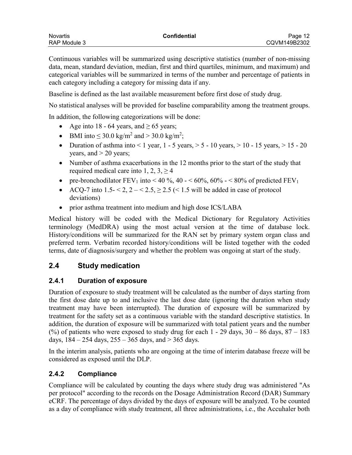<span id="page-11-0"></span>Continuous variables will be summarized using descriptive statistics (number of non-missing data, mean, standard deviation, median, first and third quartiles, minimum, and maximum) and categorical variables will be summarized in terms of the number and percentage of patients in each category including a category for missing data if any.

Baseline is defined as the last available measurement before first dose of study drug.

No statistical analyses will be provided for baseline comparability among the treatment groups.

In addition, the following categorizations will be done:

- Age into 18 64 years, and  $\geq 65$  years;
- BMI into  $\leq 30.0$  kg/m<sup>2</sup> and  $> 30.0$  kg/m<sup>2</sup>;
- Duration of asthma into  $< 1$  year,  $1 5$  years,  $> 5 10$  years,  $> 10 15$  years,  $> 15 20$ years, and  $> 20$  years;
- Number of asthma exacerbations in the 12 months prior to the start of the study that required medical care into 1, 2,  $3, \ge 4$
- pre-bronchodilator  $FEV_1$  into < 40 %, 40 < 60%, 60% < 80% of predicted  $FEV_1$
- ACQ-7 into  $1.5 2$ ,  $2 2.5$ ,  $\ge 2.5$  (< 1.5 will be added in case of protocol deviations)
- prior asthma treatment into medium and high dose ICS/LABA

Medical history will be coded with the Medical Dictionary for Regulatory Activities terminology (MedDRA) using the most actual version at the time of database lock. History/conditions will be summarized for the RAN set by primary system organ class and preferred term. Verbatim recorded history/conditions will be listed together with the coded terms, date of diagnosis/surgery and whether the problem was ongoing at start of the study.

## **2.4 Study medication**

## **2.4.1 Duration of exposure**

Duration of exposure to study treatment will be calculated as the number of days starting from the first dose date up to and inclusive the last dose date (ignoring the duration when study treatment may have been interrupted). The duration of exposure will be summarized by treatment for the safety set as a continuous variable with the standard descriptive statistics. In addition, the duration of exposure will be summarized with total patient years and the number (%) of patients who were exposed to study drug for each  $1 - 29$  days,  $30 - 86$  days,  $87 - 183$ days,  $184 - 254$  days,  $255 - 365$  days, and  $> 365$  days.

In the interim analysis, patients who are ongoing at the time of interim database freeze will be considered as exposed until the DLP.

## **2.4.2 Compliance**

Compliance will be calculated by counting the days where study drug was administered "As per protocol" according to the records on the Dosage Administration Record (DAR) Summary eCRF. The percentage of days divided by the days of exposure will be analyzed. To be counted as a day of compliance with study treatment, all three administrations, i.e., the Accuhaler both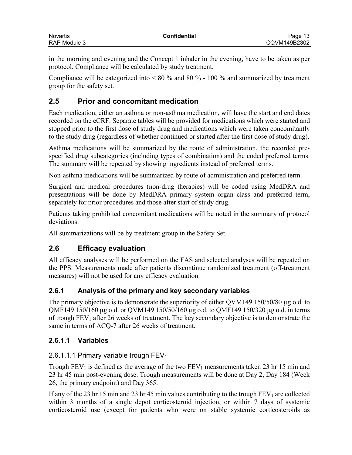<span id="page-12-0"></span>

| Novartis     | <b>Confidential</b> | Page 13      |
|--------------|---------------------|--------------|
| RAP Module 3 |                     | CQVM149B2302 |

in the morning and evening and the Concept 1 inhaler in the evening, have to be taken as per protocol. Compliance will be calculated by study treatment.

Compliance will be categorized into  $\leq 80\%$  and  $80\%$  - 100 % and summarized by treatment group for the safety set.

## **2.5 Prior and concomitant medication**

Each medication, either an asthma or non-asthma medication, will have the start and end dates recorded on the eCRF. Separate tables will be provided for medications which were started and stopped prior to the first dose of study drug and medications which were taken concomitantly to the study drug (regardless of whether continued or started after the first dose of study drug).

Asthma medications will be summarized by the route of administration, the recorded prespecified drug subcategories (including types of combination) and the coded preferred terms. The summary will be repeated by showing ingredients instead of preferred terms.

Non-asthma medications will be summarized by route of administration and preferred term.

Surgical and medical procedures (non-drug therapies) will be coded using MedDRA and presentations will be done by MedDRA primary system organ class and preferred term, separately for prior procedures and those after start of study drug.

Patients taking prohibited concomitant medications will be noted in the summary of protocol deviations.

All summarizations will be by treatment group in the Safety Set.

## **2.6 Efficacy evaluation**

All efficacy analyses will be performed on the FAS and selected analyses will be repeated on the PPS. Measurements made after patients discontinue randomized treatment (off-treatment measures) will not be used for any efficacy evaluation.

## **2.6.1 Analysis of the primary and key secondary variables**

The primary objective is to demonstrate the superiority of either QVM149 150/50/80 µg o.d. to QMF149 150/160 µg o.d. or QVM149 150/50/160 µg o.d. to QMF149 150/320 µg o.d. in terms of trough  $FEV_1$  after 26 weeks of treatment. The key secondary objective is to demonstrate the same in terms of ACQ-7 after 26 weeks of treatment.

## **2.6.1.1 Variables**

## 2.6.1.1.1 Primary variable trough FEV<sup>1</sup>

Trough  $FEV_1$  is defined as the average of the two  $FEV_1$  measurements taken 23 hr 15 min and 23 hr 45 min post-evening dose. Trough measurements will be done at Day 2, Day 184 (Week 26, the primary endpoint) and Day 365.

If any of the 23 hr 15 min and 23 hr 45 min values contributing to the trough  $FEV<sub>1</sub>$  are collected within 3 months of a single depot corticosteroid injection, or within 7 days of systemic corticosteroid use (except for patients who were on stable systemic corticosteroids as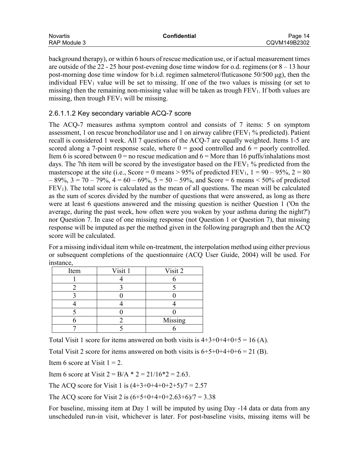<span id="page-13-0"></span>

| Novartis     | <b>Confidential</b> | Page 14      |
|--------------|---------------------|--------------|
| RAP Module 3 |                     | CQVM149B2302 |

background therapy), or within 6 hours of rescue medication use, or if actual measurement times are outside of the 22 - 25 hour post-evening dose time window for o.d. regimens (or  $8 - 13$  hour post-morning dose time window for b.i.d. regimen salmeterol/fluticasone 50/500 μg), then the individual  $FEV_1$  value will be set to missing. If one of the two values is missing (or set to missing) then the remaining non-missing value will be taken as trough  $FEV<sub>1</sub>$ . If both values are missing, then trough  $FEV<sub>1</sub>$  will be missing.

#### 2.6.1.1.2 Key secondary variable ACQ-7 score

The ACQ-7 measures asthma symptom control and consists of 7 items: 5 on symptom assessment, 1 on rescue bronchodilator use and 1 on airway calibre (FEV<sup>1</sup> % predicted). Patient recall is considered 1 week. All 7 questions of the ACQ-7 are equally weighted. Items 1-5 are scored along a 7-point response scale, where  $0 =$  good controlled and  $6 =$  poorly controlled. Item 6 is scored between  $0 =$  no rescue medication and  $6 =$  More than 16 puffs/inhalations most days. The 7th item will be scored by the investigator based on the  $FEV<sub>1</sub>$ % predicted from the masterscope at the site (i.e., Score = 0 means >  $95\%$  of predicted FEV<sub>1</sub>, 1 = 90 – 95%, 2 = 80  $-89\%, 3 = 70 - 79\%, 4 = 60 - 69\%, 5 = 50 - 59\%, \text{ and Score} = 6 \text{ means} < 50\% \text{ of predicted}$  $FEV<sub>1</sub>$ ). The total score is calculated as the mean of all questions. The mean will be calculated as the sum of scores divided by the number of questions that were answered, as long as there were at least 6 questions answered and the missing question is neither Question 1 ('On the average, during the past week, how often were you woken by your asthma during the night?') nor Question 7. In case of one missing response (not Question 1 or Question 7), that missing response will be imputed as per the method given in the following paragraph and then the ACQ score will be calculated.

For a missing individual item while on-treatment, the interpolation method using either previous or subsequent completions of the questionnaire (ACQ User Guide, 2004) will be used. For instance,

| Visit 1 | Visit 2 |
|---------|---------|
|         |         |
|         |         |
|         |         |
|         |         |
|         |         |
|         | Missing |
|         |         |
|         |         |

Total Visit 1 score for items answered on both visits is  $4+3+0+4+0+5 = 16$  (A).

Total Visit 2 score for items answered on both visits is  $6+5+0+4+0+6 = 21$  (B).

Item 6 score at Visit  $1 = 2$ .

Item 6 score at Visit  $2 = B/A * 2 = 21/16*2 = 2.63$ .

The ACQ score for Visit 1 is  $(4+3+0+4+0+2+5)/7 = 2.57$ 

The ACQ score for Visit 2 is  $(6+5+0+4+0+2.63+6)/7 = 3.38$ 

For baseline, missing item at Day 1 will be imputed by using Day -14 data or data from any unscheduled run-in visit, whichever is later. For post-baseline visits, missing items will be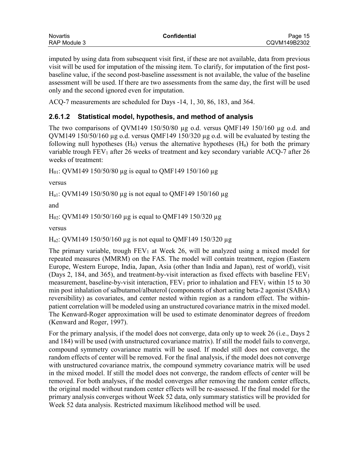<span id="page-14-0"></span>imputed by using data from subsequent visit first, if these are not available, data from previous visit will be used for imputation of the missing item. To clarify, for imputation of the first postbaseline value, if the second post-baseline assessment is not available, the value of the baseline assessment will be used. If there are two assessments from the same day, the first will be used only and the second ignored even for imputation.

ACQ-7 measurements are scheduled for Days -14, 1, 30, 86, 183, and 364.

## **2.6.1.2 Statistical model, hypothesis, and method of analysis**

The two comparisons of QVM149 150/50/80 µg o.d. versus QMF149 150/160 µg o.d. and QVM149 150/50/160 µg o.d. versus QMF149 150/320 µg o.d. will be evaluated by testing the following null hypotheses  $(H_0)$  versus the alternative hypotheses  $(H_a)$  for both the primary variable trough  $FEV_1$  after 26 weeks of treatment and key secondary variable ACQ-7 after 26 weeks of treatment:

H01: QVM149 150/50/80 µg is equal to QMF149 150/160 µg

versus

Ha1: QVM149 150/50/80 µg is not equal to QMF149 150/160 µg

and

H<sub>02</sub>: QVM149 150/50/160 µg is equal to QMF149 150/320 µg

versus

Ha2: QVM149 150/50/160 µg is not equal to QMF149 150/320 µg

The primary variable, trough  $FEV_1$  at Week 26, will be analyzed using a mixed model for repeated measures (MMRM) on the FAS. The model will contain treatment, region (Eastern Europe, Western Europe, India, Japan, Asia (other than India and Japan), rest of world), visit (Days 2, 184, and 365), and treatment-by-visit interaction as fixed effects with baseline  $FEV<sub>1</sub>$ measurement, baseline-by-visit interaction,  $FEV_1$  prior to inhalation and  $FEV_1$  within 15 to 30 min post inhalation of salbutamol/albuterol (components of short acting beta-2 agonist (SABA) reversibility) as covariates, and center nested within region as a random effect. The withinpatient correlation will be modeled using an unstructured covariance matrix in the mixed model. The Kenward-Roger approximation will be used to estimate denominator degrees of freedom (Kenward and Roger, 1997).

For the primary analysis, if the model does not converge, data only up to week 26 (i.e., Days 2 and 184) will be used (with unstructured covariance matrix). If still the model fails to converge, compound symmetry covariance matrix will be used. If model still does not converge, the random effects of center will be removed. For the final analysis, if the model does not converge with unstructured covariance matrix, the compound symmetry covariance matrix will be used in the mixed model. If still the model does not converge, the random effects of center will be removed. For both analyses, if the model converges after removing the random center effects, the original model without random center effects will be re-assessed. If the final model for the primary analysis converges without Week 52 data, only summary statistics will be provided for Week 52 data analysis. Restricted maximum likelihood method will be used.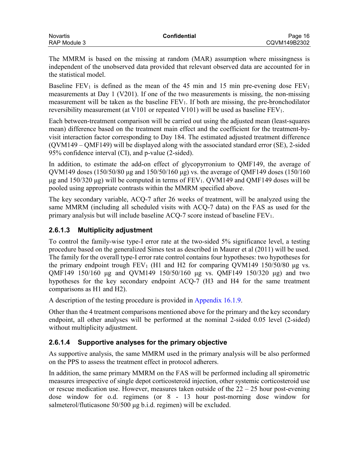<span id="page-15-0"></span>The MMRM is based on the missing at random (MAR) assumption where missingness is independent of the unobserved data provided that relevant observed data are accounted for in the statistical model.

Baseline FEV<sub>1</sub> is defined as the mean of the 45 min and 15 min pre-evening dose FEV<sub>1</sub> measurements at Day 1 (V201). If one of the two measurements is missing, the non-missing measurement will be taken as the baseline  $FEV<sub>1</sub>$ . If both are missing, the pre-bronchodilator reversibility measurement (at V101 or repeated V101) will be used as baseline  $FEV<sub>1</sub>$ .

Each between-treatment comparison will be carried out using the adjusted mean (least-squares mean) difference based on the treatment main effect and the coefficient for the treatment-byvisit interaction factor corresponding to Day 184. The estimated adjusted treatment difference (QVM149 – QMF149) will be displayed along with the associated standard error (SE), 2-sided 95% confidence interval (CI), and p-value (2-sided).

In addition, to estimate the add-on effect of glycopyrronium to QMF149, the average of QVM149 doses (150/50/80 μg and 150/50/160 μg) vs. the average of QMF149 doses (150/160 μg and 150/320 μg) will be computed in terms of  $FEV_1$ . QVM149 and QMF149 doses will be pooled using appropriate contrasts within the MMRM specified above.

The key secondary variable, ACQ-7 after 26 weeks of treatment, will be analyzed using the same MMRM (including all scheduled visits with ACQ-7 data) on the FAS as used for the primary analysis but will include baseline ACQ-7 score instead of baseline  $FEV<sub>1</sub>$ .

## **2.6.1.3 Multiplicity adjustment**

To control the family-wise type-I error rate at the two-sided 5% significance level, a testing procedure based on the generalized Simes test as described in Maurer et al (2011) will be used. The family for the overall type-I error rate control contains four hypotheses: two hypotheses for the primary endpoint trough  $FEV_1$  (H1 and H2 for comparing QVM149 150/50/80 μg vs. QMF149 150/160 μg and QVM149 150/50/160 μg vs. QMF149 150/320 μg) and two hypotheses for the key secondary endpoint ACQ-7 (H3 and H4 for the same treatment comparisons as H1 and H2).

A description of the testing procedure is provided in Appendix 16.1.9.

Other than the 4 treatment comparisons mentioned above for the primary and the key secondary endpoint, all other analyses will be performed at the nominal 2-sided 0.05 level (2-sided) without multiplicity adjustment.

## **2.6.1.4 Supportive analyses for the primary objective**

As supportive analysis, the same MMRM used in the primary analysis will be also performed on the PPS to assess the treatment effect in protocol adherers.

In addition, the same primary MMRM on the FAS will be performed including all spirometric measures irrespective of single depot corticosteroid injection, other systemic corticosteroid use or rescue medication use. However, measures taken outside of the  $22 - 25$  hour post-evening dose window for o.d. regimens (or 8 - 13 hour post-morning dose window for salmeterol/fluticasone 50/500 μg b.i.d. regimen) will be excluded.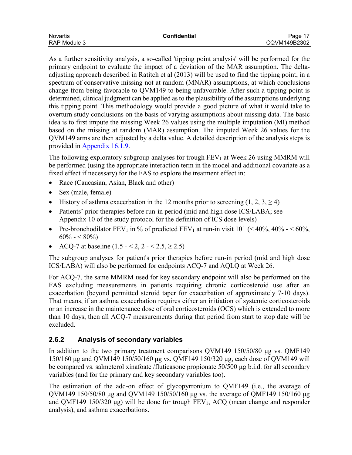<span id="page-16-0"></span>As a further sensitivity analysis, a so-called 'tipping point analysis' will be performed for the primary endpoint to evaluate the impact of a deviation of the MAR assumption. The deltaadjusting approach described in Ratitch et al (2013) will be used to find the tipping point, in a spectrum of conservative missing not at random (MNAR) assumptions, at which conclusions change from being favorable to QVM149 to being unfavorable. After such a tipping point is determined, clinical judgment can be applied as to the plausibility of the assumptions underlying this tipping point. This methodology would provide a good picture of what it would take to overturn study conclusions on the basis of varying assumptions about missing data. The basic idea is to first impute the missing Week 26 values using the multiple imputation (MI) method based on the missing at random (MAR) assumption. The imputed Week 26 values for the QVM149 arms are then adjusted by a delta value. A detailed description of the analysis steps is provided in Appendix 16.1.9.

The following exploratory subgroup analyses for trough  $FEV<sub>1</sub>$  at Week 26 using MMRM will be performed (using the appropriate interaction term in the model and additional covariate as a fixed effect if necessary) for the FAS to explore the treatment effect in:

- Race (Caucasian, Asian, Black and other)
- Sex (male, female)
- History of asthma exacerbation in the 12 months prior to screening  $(1, 2, 3, \ge 4)$
- Patients' prior therapies before run-in period (mid and high dose ICS/LABA; see Appendix 10 of the study protocol for the definition of ICS dose levels)
- Pre-bronchodilator  $FEV_1$  in % of predicted  $FEV_1$  at run-in visit 101 (< 40%, 40% < 60%,  $60\% - 580\%$
- ACQ-7 at baseline  $(1.5 5.2, 2 \cdot 5.2, 2.5)$

The subgroup analyses for patient's prior therapies before run-in period (mid and high dose ICS/LABA) will also be performed for endpoints ACQ-7 and AQLQ at Week 26.

For ACQ-7, the same MMRM used for key secondary endpoint will also be performed on the FAS excluding measurements in patients requiring chronic corticosteroid use after an exacerbation (beyond permitted steroid taper for exacerbation of approximately 7-10 days). That means, if an asthma exacerbation requires either an initiation of systemic corticosteroids or an increase in the maintenance dose of oral corticosteroids (OCS) which is extended to more than 10 days, then all ACQ-7 measurements during that period from start to stop date will be excluded.

## **2.6.2 Analysis of secondary variables**

In addition to the two primary treatment comparisons QVM149 150/50/80 μg vs. QMF149 150/160 μg and QVM149 150/50/160 μg vs. QMF149 150/320 μg, each dose of QVM149 will be compared vs. salmeterol xinafoate /fluticasone propionate 50/500 µg b.i.d. for all secondary variables (and for the primary and key secondary variables too).

The estimation of the add-on effect of glycopyrronium to QMF149 (i.e., the average of QVM149 150/50/80 μg and QVM149 150/50/160 μg vs. the average of QMF149 150/160 μg and QMF149 150/320 μg) will be done for trough  $FEV_1$ , ACQ (mean change and responder analysis), and asthma exacerbations.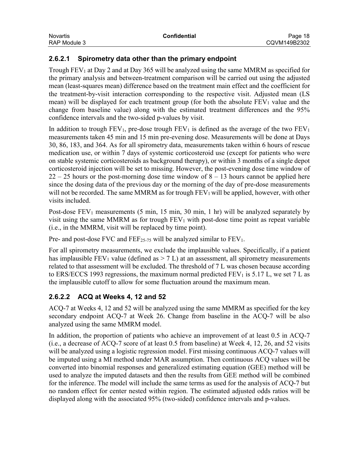## <span id="page-17-0"></span>**2.6.2.1 Spirometry data other than the primary endpoint**

Trough  $FEV<sub>1</sub>$  at Day 2 and at Day 365 will be analyzed using the same MMRM as specified for the primary analysis and between-treatment comparison will be carried out using the adjusted mean (least-squares mean) difference based on the treatment main effect and the coefficient for the treatment-by-visit interaction corresponding to the respective visit. Adjusted mean (LS mean) will be displayed for each treatment group (for both the absolute  $FEV<sub>1</sub>$  value and the change from baseline value) along with the estimated treatment differences and the 95% confidence intervals and the two-sided p-values by visit.

In addition to trough  $FEV_1$ , pre-dose trough  $FEV_1$  is defined as the average of the two  $FEV_1$ measurements taken 45 min and 15 min pre-evening dose. Measurements will be done at Days 30, 86, 183, and 364. As for all spirometry data, measurements taken within 6 hours of rescue medication use, or within 7 days of systemic corticosteroid use (except for patients who were on stable systemic corticosteroids as background therapy), or within 3 months of a single depot corticosteroid injection will be set to missing. However, the post-evening dose time window of  $22 - 25$  hours or the post-morning dose time window of  $8 - 13$  hours cannot be applied here since the dosing data of the previous day or the morning of the day of pre-dose measurements will not be recorded. The same MMRM as for trough  $FEV<sub>1</sub>$  will be applied, however, with other visits included.

Post-dose  $FEV_1$  measurements (5 min, 15 min, 30 min, 1 hr) will be analyzed separately by visit using the same MMRM as for trough  $FEV<sub>1</sub>$  with post-dose time point as repeat variable (i.e., in the MMRM, visit will be replaced by time point).

Pre- and post-dose FVC and FEF<sub>25-75</sub> will be analyzed similar to  $FEV<sub>1</sub>$ .

For all spirometry measurements, we exclude the implausible values. Specifically, if a patient has implausible  $FEV_1$  value (defined as  $> 7$  L) at an assessment, all spirometry measurements related to that assessment will be excluded. The threshold of 7 L was chosen because according to ERS/ECCS 1993 regressions, the maximum normal predicted  $FEV<sub>1</sub>$  is 5.17 L, we set 7 L as the implausible cutoff to allow for some fluctuation around the maximum mean.

## **2.6.2.2 ACQ at Weeks 4, 12 and 52**

ACQ-7 at Weeks 4, 12 and 52 will be analyzed using the same MMRM as specified for the key secondary endpoint ACQ-7 at Week 26. Change from baseline in the ACQ-7 will be also analyzed using the same MMRM model.

In addition, the proportion of patients who achieve an improvement of at least 0.5 in ACQ-7 (i.e., a decrease of ACQ-7 score of at least 0.5 from baseline) at Week 4, 12, 26, and 52 visits will be analyzed using a logistic regression model. First missing continuous ACO-7 values will be imputed using a MI method under MAR assumption. Then continuous ACQ values will be converted into binomial responses and generalized estimating equation (GEE) method will be used to analyze the imputed datasets and then the results from GEE method will be combined for the inference. The model will include the same terms as used for the analysis of ACQ-7 but no random effect for center nested within region. The estimated adjusted odds ratios will be displayed along with the associated 95% (two-sided) confidence intervals and p-values.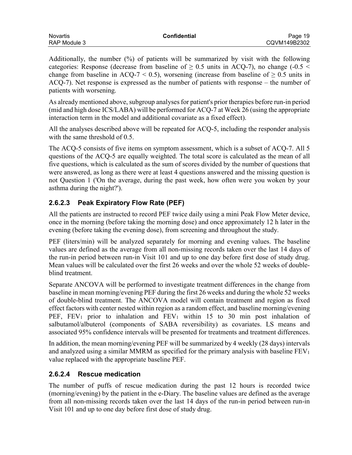<span id="page-18-0"></span>Additionally, the number (%) of patients will be summarized by visit with the following categories: Response (decrease from baseline of  $\geq$  0.5 units in ACQ-7), no change (-0.5 < change from baseline in ACQ-7 < 0.5), worsening (increase from baseline of  $\geq$  0.5 units in ACQ-7). Net response is expressed as the number of patients with response – the number of patients with worsening.

As already mentioned above, subgroup analyses for patient's prior therapies before run-in period (mid and high dose ICS/LABA) will be performed for ACQ-7 at Week 26 (using the appropriate interaction term in the model and additional covariate as a fixed effect).

All the analyses described above will be repeated for ACQ-5, including the responder analysis with the same threshold of 0.5.

The ACQ-5 consists of five items on symptom assessment, which is a subset of ACQ-7. All 5 questions of the ACQ-5 are equally weighted. The total score is calculated as the mean of all five questions, which is calculated as the sum of scores divided by the number of questions that were answered, as long as there were at least 4 questions answered and the missing question is not Question 1 ('On the average, during the past week, how often were you woken by your asthma during the night?').

## **2.6.2.3 Peak Expiratory Flow Rate (PEF)**

All the patients are instructed to record PEF twice daily using a mini Peak Flow Meter device, once in the morning (before taking the morning dose) and once approximately 12 h later in the evening (before taking the evening dose), from screening and throughout the study.

PEF (liters/min) will be analyzed separately for morning and evening values. The baseline values are defined as the average from all non-missing records taken over the last 14 days of the run-in period between run-in Visit 101 and up to one day before first dose of study drug. Mean values will be calculated over the first 26 weeks and over the whole 52 weeks of doubleblind treatment.

Separate ANCOVA will be performed to investigate treatment differences in the change from baseline in mean morning/evening PEF during the first 26 weeks and during the whole 52 weeks of double-blind treatment. The ANCOVA model will contain treatment and region as fixed effect factors with center nested within region as a random effect, and baseline morning/evening PEF,  $FEV_1$  prior to inhalation and  $FEV_1$  within 15 to 30 min post inhalation of salbutamol/albuterol (components of SABA reversibility) as covariates. LS means and associated 95% confidence intervals will be presented for treatments and treatment differences.

In addition, the mean morning/evening PEF will be summarized by 4 weekly (28 days) intervals and analyzed using a similar MMRM as specified for the primary analysis with baseline  $FEV<sub>1</sub>$ value replaced with the appropriate baseline PEF.

## **2.6.2.4 Rescue medication**

The number of puffs of rescue medication during the past 12 hours is recorded twice (morning/evening) by the patient in the e-Diary. The baseline values are defined as the average from all non-missing records taken over the last 14 days of the run-in period between run-in Visit 101 and up to one day before first dose of study drug.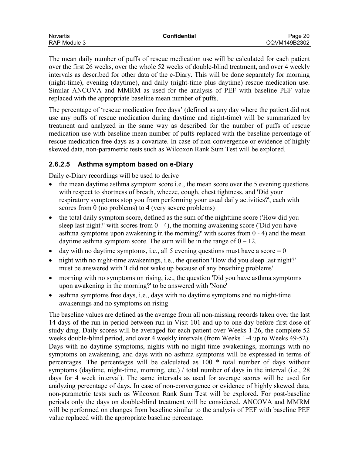<span id="page-19-0"></span>The mean daily number of puffs of rescue medication use will be calculated for each patient over the first 26 weeks, over the whole 52 weeks of double-blind treatment, and over 4 weekly intervals as described for other data of the e-Diary. This will be done separately for morning (night-time), evening (daytime), and daily (night-time plus daytime) rescue medication use. Similar ANCOVA and MMRM as used for the analysis of PEF with baseline PEF value replaced with the appropriate baseline mean number of puffs.

The percentage of 'rescue medication free days' (defined as any day where the patient did not use any puffs of rescue medication during daytime and night-time) will be summarized by treatment and analyzed in the same way as described for the number of puffs of rescue medication use with baseline mean number of puffs replaced with the baseline percentage of rescue medication free days as a covariate. In case of non-convergence or evidence of highly skewed data, non-parametric tests such as Wilcoxon Rank Sum Test will be explored.

## **2.6.2.5 Asthma symptom based on e-Diary**

Daily e-Diary recordings will be used to derive

- $\bullet$  the mean daytime asthma symptom score i.e., the mean score over the 5 evening questions with respect to shortness of breath, wheeze, cough, chest tightness, and 'Did your respiratory symptoms stop you from performing your usual daily activities?', each with scores from 0 (no problems) to 4 (very severe problems)
- the total daily symptom score, defined as the sum of the nighttime score ('How did you sleep last night?' with scores from 0 - 4), the morning awakening score ('Did you have asthma symptoms upon awakening in the morning?' with scores from 0 - 4) and the mean daytime asthma symptom score. The sum will be in the range of  $0 - 12$ .
- day with no daytime symptoms, i.e., all 5 evening questions must have a score  $= 0$
- night with no night-time awakenings, i.e., the question 'How did you sleep last night?' must be answered with 'I did not wake up because of any breathing problems'
- morning with no symptoms on rising, i.e., the question 'Did you have asthma symptoms upon awakening in the morning?' to be answered with 'None'
- asthma symptoms free days, i.e., days with no daytime symptoms and no night-time awakenings and no symptoms on rising

The baseline values are defined as the average from all non-missing records taken over the last 14 days of the run-in period between run-in Visit 101 and up to one day before first dose of study drug. Daily scores will be averaged for each patient over Weeks 1-26, the complete 52 weeks double-blind period, and over 4 weekly intervals (from Weeks 1-4 up to Weeks 49-52). Days with no daytime symptoms, nights with no night-time awakenings, mornings with no symptoms on awakening, and days with no asthma symptoms will be expressed in terms of percentages. The percentages will be calculated as 100 \* total number of days without symptoms (daytime, night-time, morning, etc.) / total number of days in the interval (i.e., 28 days for 4 week interval). The same intervals as used for average scores will be used for analyzing percentage of days. In case of non-convergence or evidence of highly skewed data, non-parametric tests such as Wilcoxon Rank Sum Test will be explored. For post-baseline periods only the days on double-blind treatment will be considered. ANCOVA and MMRM will be performed on changes from baseline similar to the analysis of PEF with baseline PEF value replaced with the appropriate baseline percentage.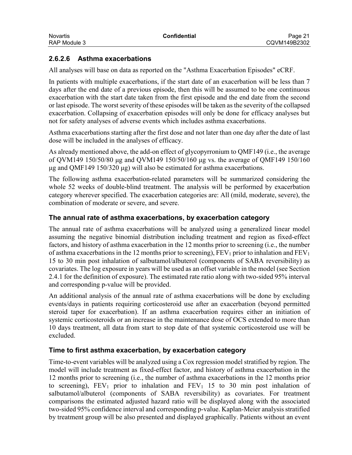## <span id="page-20-0"></span>**2.6.2.6 Asthma exacerbations**

All analyses will base on data as reported on the "Asthma Exacerbation Episodes" eCRF.

In patients with multiple exacerbations, if the start date of an exacerbation will be less than 7 days after the end date of a previous episode, then this will be assumed to be one continuous exacerbation with the start date taken from the first episode and the end date from the second or last episode. The worst severity of these episodes will be taken as the severity of the collapsed exacerbation. Collapsing of exacerbation episodes will only be done for efficacy analyses but not for safety analyses of adverse events which includes asthma exacerbations.

Asthma exacerbations starting after the first dose and not later than one day after the date of last dose will be included in the analyses of efficacy.

As already mentioned above, the add-on effect of glycopyrronium to QMF149 (i.e., the average of QVM149 150/50/80 μg and QVM149 150/50/160 μg vs. the average of QMF149 150/160 μg and QMF149 150/320 μg) will also be estimated for asthma exacerbations.

The following asthma exacerbation-related parameters will be summarized considering the whole 52 weeks of double-blind treatment. The analysis will be performed by exacerbation category wherever specified. The exacerbation categories are: All (mild, moderate, severe), the combination of moderate or severe, and severe.

## **The annual rate of asthma exacerbations, by exacerbation category**

The annual rate of asthma exacerbations will be analyzed using a generalized linear model assuming the negative binomial distribution including treatment and region as fixed-effect factors, and history of asthma exacerbation in the 12 months prior to screening (i.e., the number of asthma exacerbations in the 12 months prior to screening),  $FEV<sub>1</sub>$  prior to inhalation and  $FEV<sub>1</sub>$ 15 to 30 min post inhalation of salbutamol/albuterol (components of SABA reversibility) as covariates. The log exposure in years will be used as an offset variable in the model (see Section 2.4.1 for the definition of exposure). The estimated rate ratio along with two-sided 95% interval and corresponding p-value will be provided.

An additional analysis of the annual rate of asthma exacerbations will be done by excluding events/days in patients requiring corticosteroid use after an exacerbation (beyond permitted steroid taper for exacerbation). If an asthma exacerbation requires either an initiation of systemic corticosteroids or an increase in the maintenance dose of OCS extended to more than 10 days treatment, all data from start to stop date of that systemic corticosteroid use will be excluded.

## **Time to first asthma exacerbation, by exacerbation category**

Time-to-event variables will be analyzed using a Cox regression model stratified by region. The model will include treatment as fixed-effect factor, and history of asthma exacerbation in the 12 months prior to screening (i.e., the number of asthma exacerbations in the 12 months prior to screening),  $FEV_1$  prior to inhalation and  $FEV_1$  15 to 30 min post inhalation of salbutamol/albuterol (components of SABA reversibility) as covariates. For treatment comparisons the estimated adjusted hazard ratio will be displayed along with the associated two-sided 95% confidence interval and corresponding p-value. Kaplan-Meier analysis stratified by treatment group will be also presented and displayed graphically. Patients without an event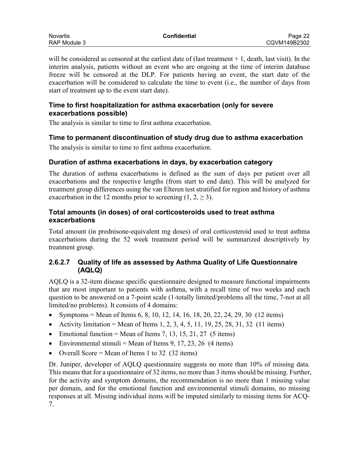<span id="page-21-0"></span>

| Novartis     | <b>Confidential</b> | Page 22      |
|--------------|---------------------|--------------|
| RAP Module 3 |                     | CQVM149B2302 |

will be considered as censored at the earliest date of (last treatment  $+ 1$ , death, last visit). In the interim analysis, patients without an event who are ongoing at the time of interim database freeze will be censored at the DLP. For patients having an event, the start date of the exacerbation will be considered to calculate the time to event (i.e., the number of days from start of treatment up to the event start date).

#### **Time to first hospitalization for asthma exacerbation (only for severe exacerbations possible)**

The analysis is similar to time to first asthma exacerbation.

## **Time to permanent discontinuation of study drug due to asthma exacerbation**

The analysis is similar to time to first asthma exacerbation.

#### **Duration of asthma exacerbations in days, by exacerbation category**

The duration of asthma exacerbations is defined as the sum of days per patient over all exacerbations and the respective lengths (from start to end date). This will be analyzed for treatment group differences using the van Elteren test stratified for region and history of asthma exacerbation in the 12 months prior to screening  $(1, 2, \ge 3)$ .

#### **Total amounts (in doses) of oral corticosteroids used to treat asthma exacerbations**

Total amount (in prednisone-equivalent mg doses) of oral corticosteroid used to treat asthma exacerbations during the 52 week treatment period will be summarized descriptively by treatment group.

## **2.6.2.7 Quality of life as assessed by Asthma Quality of Life Questionnaire (AQLQ)**

AQLQ is a 32-item disease specific questionnaire designed to measure functional impairments that are most important to patients with asthma, with a recall time of two weeks and each question to be answered on a 7-point scale (1-totally limited/problems all the time, 7-not at all limited/no problems). It consists of 4 domains:

- Symptoms = Mean of Items 6, 8, 10, 12, 14, 16, 18, 20, 22, 24, 29, 30 (12 items)
- Activity limitation = Mean of Items 1, 2, 3, 4, 5, 11, 19, 25, 28, 31, 32 (11 items)
- Emotional function = Mean of Items 7, 13, 15, 21, 27 (5 items)
- Environmental stimuli = Mean of Items 9, 17, 23, 26 (4 items)
- Overall Score = Mean of Items 1 to 32 (32 items)

Dr. Juniper, developer of AQLQ questionnaire suggests no more than 10% of missing data. This means that for a questionnaire of 32 items, no more than 3 items should be missing. Further, for the activity and symptom domains, the recommendation is no more than 1 missing value per domain, and for the emotional function and environmental stimuli domains, no missing responses at all. Missing individual items will be imputed similarly to missing items for ACQ-7.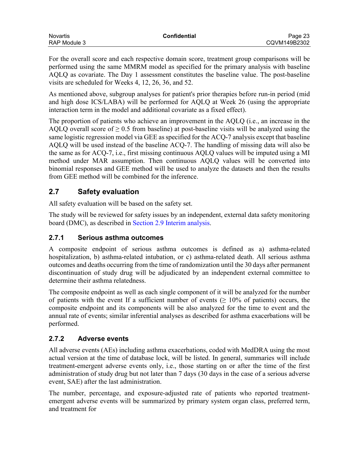<span id="page-22-0"></span>

| <b>Novartis</b> | <b>Confidential</b> | Page 23      |
|-----------------|---------------------|--------------|
| RAP Module 3    |                     | CQVM149B2302 |

For the overall score and each respective domain score, treatment group comparisons will be performed using the same MMRM model as specified for the primary analysis with baseline AQLQ as covariate. The Day 1 assessment constitutes the baseline value. The post-baseline visits are scheduled for Weeks 4, 12, 26, 36, and 52.

As mentioned above, subgroup analyses for patient's prior therapies before run-in period (mid and high dose ICS/LABA) will be performed for AQLQ at Week 26 (using the appropriate interaction term in the model and additional covariate as a fixed effect).

The proportion of patients who achieve an improvement in the AQLQ (i.e., an increase in the AQLQ overall score of  $\geq$  0.5 from baseline) at post-baseline visits will be analyzed using the same logistic regression model via GEE as specified for the ACQ-7 analysis except that baseline AQLQ will be used instead of the baseline ACQ-7. The handling of missing data will also be the same as for ACQ-7, i.e., first missing continuous AQLQ values will be imputed using a MI method under MAR assumption. Then continuous AQLQ values will be converted into binomial responses and GEE method will be used to analyze the datasets and then the results from GEE method will be combined for the inference.

## **2.7 Safety evaluation**

All safety evaluation will be based on the safety set.

The study will be reviewed for safety issues by an independent, external data safety monitoring board (DMC), as described in [Section 2.9 Interim analysis.](#page-29-0)

## **2.7.1 Serious asthma outcomes**

A composite endpoint of serious asthma outcomes is defined as a) asthma-related hospitalization, b) asthma-related intubation, or c) asthma-related death. All serious asthma outcomes and deaths occurring from the time of randomization until the 30 days after permanent discontinuation of study drug will be adjudicated by an independent external committee to determine their asthma relatedness.

The composite endpoint as well as each single component of it will be analyzed for the number of patients with the event If a sufficient number of events ( $\geq 10\%$  of patients) occurs, the composite endpoint and its components will be also analyzed for the time to event and the annual rate of events; similar inferential analyses as described for asthma exacerbations will be performed.

## **2.7.2 Adverse events**

All adverse events (AEs) including asthma exacerbations, coded with MedDRA using the most actual version at the time of database lock, will be listed. In general, summaries will include treatment-emergent adverse events only, i.e., those starting on or after the time of the first administration of study drug but not later than 7 days (30 days in the case of a serious adverse event, SAE) after the last administration.

The number, percentage, and exposure-adjusted rate of patients who reported treatmentemergent adverse events will be summarized by primary system organ class, preferred term, and treatment for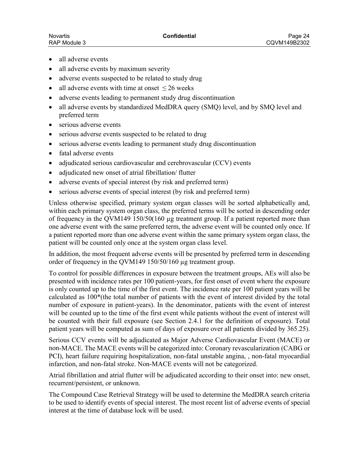- all adverse events
- all adverse events by maximum severity
- adverse events suspected to be related to study drug
- all adverse events with time at onset  $\leq$  26 weeks
- adverse events leading to permanent study drug discontinuation
- all adverse events by standardized MedDRA query (SMQ) level, and by SMQ level and preferred term
- serious adverse events
- serious adverse events suspected to be related to drug
- serious adverse events leading to permanent study drug discontinuation
- fatal adverse events
- adjudicated serious cardiovascular and cerebrovascular (CCV) events
- adjudicated new onset of atrial fibrillation/ flutter
- adverse events of special interest (by risk and preferred term)
- serious adverse events of special interest (by risk and preferred term)

Unless otherwise specified, primary system organ classes will be sorted alphabetically and, within each primary system organ class, the preferred terms will be sorted in descending order of frequency in the QVM149 150/50(160 µg treatment group. If a patient reported more than one adverse event with the same preferred term, the adverse event will be counted only once. If a patient reported more than one adverse event within the same primary system organ class, the patient will be counted only once at the system organ class level.

In addition, the most frequent adverse events will be presented by preferred term in descending order of frequency in the QVM149 150/50/160 µg treatment group.

To control for possible differences in exposure between the treatment groups, AEs will also be presented with incidence rates per 100 patient-years, for first onset of event where the exposure is only counted up to the time of the first event. The incidence rate per 100 patient years will be calculated as 100\*(the total number of patients with the event of interest divided by the total number of exposure in patient-years). In the denominator, patients with the event of interest will be counted up to the time of the first event while patients without the event of interest will be counted with their full exposure (see Section 2.4.1 for the definition of exposure). Total patient years will be computed as sum of days of exposure over all patients divided by 365.25).

Serious CCV events will be adjudicated as Major Adverse Cardiovascular Event (MACE) or non-MACE. The MACE events will be categorized into: Coronary revascularization (CABG or PCI), heart failure requiring hospitalization, non-fatal unstable angina, , non-fatal myocardial infarction, and non-fatal stroke. Non-MACE events will not be categorized.

Atrial fibrillation and atrial flutter will be adjudicated according to their onset into: new onset, recurrent/persistent, or unknown.

The Compound Case Retrieval Strategy will be used to determine the MedDRA search criteria to be used to identify events of special interest. The most recent list of adverse events of special interest at the time of database lock will be used.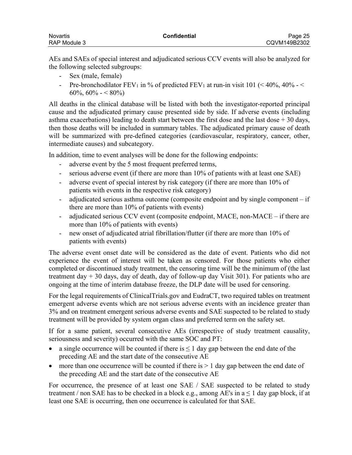| <b>Novartis</b> | <b>Confidential</b> | Page 25      |
|-----------------|---------------------|--------------|
| RAP Module 3    |                     | CQVM149B2302 |

AEs and SAEs of special interest and adjudicated serious CCV events will also be analyzed for the following selected subgroups:

- Sex (male, female)
- Pre-bronchodilator  $FEV_1$  in % of predicted  $FEV_1$  at run-in visit 101 (< 40%, 40% < 60\%, 60\% - < 80\%)

All deaths in the clinical database will be listed with both the investigator-reported principal cause and the adjudicated primary cause presented side by side. If adverse events (including asthma exacerbations) leading to death start between the first dose and the last dose  $+30$  days, then those deaths will be included in summary tables. The adjudicated primary cause of death will be summarized with pre-defined categories (cardiovascular, respiratory, cancer, other, intermediate causes) and subcategory.

In addition, time to event analyses will be done for the following endpoints:

- adverse event by the 5 most frequent preferred terms,
- serious adverse event (if there are more than 10% of patients with at least one SAE)
- adverse event of special interest by risk category (if there are more than 10% of patients with events in the respective risk category)
- adjudicated serious asthma outcome (composite endpoint and by single component if there are more than 10% of patients with events)
- adjudicated serious CCV event (composite endpoint, MACE, non-MACE if there are more than 10% of patients with events)
- new onset of adjudicated atrial fibrillation/flutter (if there are more than 10% of patients with events)

The adverse event onset date will be considered as the date of event. Patients who did not experience the event of interest will be taken as censored. For those patients who either completed or discontinued study treatment, the censoring time will be the minimum of (the last treatment day + 30 days, day of death, day of follow-up day Visit 301). For patients who are ongoing at the time of interim database freeze, the DLP date will be used for censoring.

For the legal requirements of ClinicalTrials.gov and EudraCT, two required tables on treatment emergent adverse events which are not serious adverse events with an incidence greater than 3% and on treatment emergent serious adverse events and SAE suspected to be related to study treatment will be provided by system organ class and preferred term on the safety set.

If for a same patient, several consecutive AEs (irrespective of study treatment causality, seriousness and severity) occurred with the same SOC and PT:

- a single occurrence will be counted if there is  $\leq 1$  day gap between the end date of the preceding AE and the start date of the consecutive AE
- more than one occurrence will be counted if there is  $> 1$  day gap between the end date of the preceding AE and the start date of the consecutive AE

For occurrence, the presence of at least one SAE / SAE suspected to be related to study treatment / non SAE has to be checked in a block e.g., among AE's in  $a \le 1$  day gap block, if at least one SAE is occurring, then one occurrence is calculated for that SAE.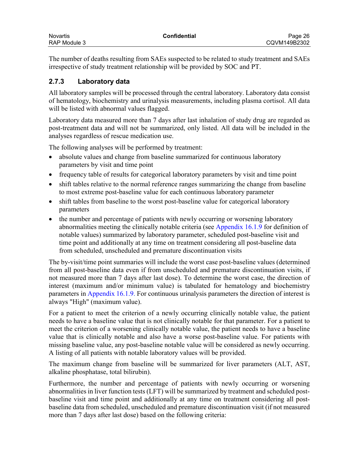<span id="page-25-0"></span>

| Novartis     | <b>Confidential</b> | Page 26      |
|--------------|---------------------|--------------|
| RAP Module 3 |                     | CQVM149B2302 |

The number of deaths resulting from SAEs suspected to be related to study treatment and SAEs irrespective of study treatment relationship will be provided by SOC and PT.

## **2.7.3 Laboratory data**

All laboratory samples will be processed through the central laboratory. Laboratory data consist of hematology, biochemistry and urinalysis measurements, including plasma cortisol. All data will be listed with abnormal values flagged.

Laboratory data measured more than 7 days after last inhalation of study drug are regarded as post-treatment data and will not be summarized, only listed. All data will be included in the analyses regardless of rescue medication use.

The following analyses will be performed by treatment:

- absolute values and change from baseline summarized for continuous laboratory parameters by visit and time point
- frequency table of results for categorical laboratory parameters by visit and time point
- shift tables relative to the normal reference ranges summarizing the change from baseline to most extreme post-baseline value for each continuous laboratory parameter
- shift tables from baseline to the worst post-baseline value for categorical laboratory parameters
- the number and percentage of patients with newly occurring or worsening laboratory abnormalities meeting the clinically notable criteria (see Appendix 16.1.9 for definition of notable values) summarized by laboratory parameter, scheduled post-baseline visit and time point and additionally at any time on treatment considering all post-baseline data from scheduled, unscheduled and premature discontinuation visits

The by-visit/time point summaries will include the worst case post-baseline values (determined from all post-baseline data even if from unscheduled and premature discontinuation visits, if not measured more than 7 days after last dose). To determine the worst case, the direction of interest (maximum and/or minimum value) is tabulated for hematology and biochemistry parameters in Appendix 16.1.9. For continuous urinalysis parameters the direction of interest is always "High" (maximum value).

For a patient to meet the criterion of a newly occurring clinically notable value, the patient needs to have a baseline value that is not clinically notable for that parameter. For a patient to meet the criterion of a worsening clinically notable value, the patient needs to have a baseline value that is clinically notable and also have a worse post-baseline value. For patients with missing baseline value, any post-baseline notable value will be considered as newly occurring. A listing of all patients with notable laboratory values will be provided.

The maximum change from baseline will be summarized for liver parameters (ALT, AST, alkaline phosphatase, total bilirubin).

Furthermore, the number and percentage of patients with newly occurring or worsening abnormalities in liver function tests (LFT) will be summarized by treatment and scheduled postbaseline visit and time point and additionally at any time on treatment considering all postbaseline data from scheduled, unscheduled and premature discontinuation visit (if not measured more than 7 days after last dose) based on the following criteria: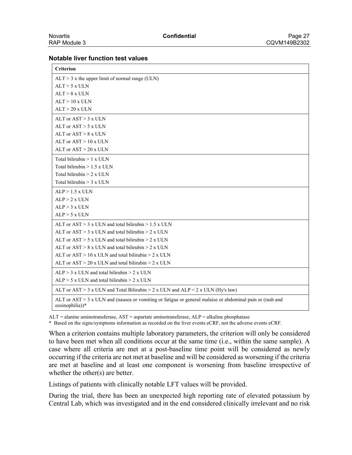#### **Notable liver function test values**

| <b>Criterion</b>                                                                                                               |
|--------------------------------------------------------------------------------------------------------------------------------|
| $ALT > 3$ x the upper limit of normal range (ULN)                                                                              |
| $ALT > 5x$ ULN                                                                                                                 |
| $AI.T > 8x$ ULN                                                                                                                |
| $ALT > 10$ x ULN                                                                                                               |
| $ALT > 20$ x ULN                                                                                                               |
| ALT or $AST > 3$ x ULN                                                                                                         |
| ALT or $AST > 5 \times$ ULN                                                                                                    |
| ALT or $AST > 8 \times$ ULN                                                                                                    |
| ALT or $AST > 10 \times$ ULN                                                                                                   |
| ALT or $AST > 20$ x ULN                                                                                                        |
| Total bilirubin $> 1$ x ULN                                                                                                    |
| Total bilirubin $> 1.5 \times$ ULN                                                                                             |
| Total bilirubin $> 2x$ ULN                                                                                                     |
| Total bilirubin $> 3x$ ULN                                                                                                     |
| $ALP > 1.5 \times ULN$                                                                                                         |
| $ALP > 2x$ ULN                                                                                                                 |
| $ALP > 3$ x ULN                                                                                                                |
| $ALP > 5$ x ULN                                                                                                                |
| ALT or $AST > 3$ x ULN and total bilirubin $> 1.5$ x ULN                                                                       |
| ALT or AST > 3 x ULN and total bilirubin > 2 x ULN                                                                             |
| ALT or AST $> 5 \times$ ULN and total bilirubin $> 2 \times$ ULN                                                               |
| ALT or AST > $8 \times$ ULN and total bilirubin > $2 \times$ ULN                                                               |
| ALT or $AST > 10$ x ULN and total bilirubin $> 2x$ ULN                                                                         |
| ALT or $AST > 20$ x ULN and total bilirubin $> 2$ x ULN                                                                        |
| $ALP > 3$ x ULN and total bilirubin $> 2$ x ULN                                                                                |
| $ALP > 5$ x ULN and total bilirubin > 2 x ULN                                                                                  |
| ALT or AST > 3 x ULN and Total Bilirubin > 2 x ULN and ALP < 2 x ULN (Hy's law)                                                |
| ALT or $AST > 3$ x ULN and (nausea or vomiting or fatigue or general malaise or abdominal pain or (rash and<br>eosinophilia))* |

 $ALT =$  alanine aminotransferase,  $AST =$  aspartate aminotransferase,  $ALP =$  alkaline phosphatase

\* Based on the signs/symptoms information as recorded on the liver events eCRF, not the adverse events eCRF.

When a criterion contains multiple laboratory parameters, the criterion will only be considered to have been met when all conditions occur at the same time (i.e., within the same sample). A case where all criteria are met at a post-baseline time point will be considered as newly occurring if the criteria are not met at baseline and will be considered as worsening if the criteria are met at baseline and at least one component is worsening from baseline irrespective of whether the other(s) are better.

Listings of patients with clinically notable LFT values will be provided.

During the trial, there has been an unexpected high reporting rate of elevated potassium by Central Lab, which was investigated and in the end considered clinically irrelevant and no risk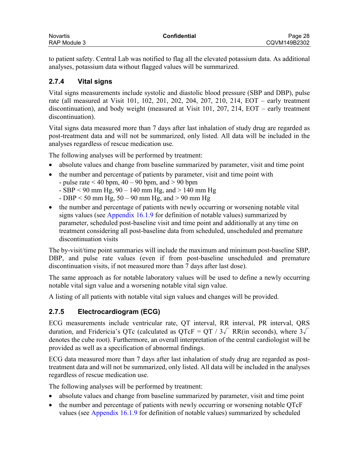<span id="page-27-0"></span>

| Novartis     |  |
|--------------|--|
| RAP Module 3 |  |

to patient safety. Central Lab was notified to flag all the elevated potassium data. As additional analyses, potassium data without flagged values will be summarized.

## **2.7.4 Vital signs**

Vital signs measurements include systolic and diastolic blood pressure (SBP and DBP), pulse rate (all measured at Visit 101, 102, 201, 202, 204, 207, 210, 214, EOT – early treatment discontinuation), and body weight (measured at Visit 101, 207, 214, EOT – early treatment discontinuation).

Vital signs data measured more than 7 days after last inhalation of study drug are regarded as post-treatment data and will not be summarized, only listed. All data will be included in the analyses regardless of rescue medication use.

The following analyses will be performed by treatment:

- absolute values and change from baseline summarized by parameter, visit and time point
- the number and percentage of patients by parameter, visit and time point with
	- pulse rate  $\leq 40$  bpm,  $40 90$  bpm, and  $> 90$  bpm
	- $-$  SBP < 90 mm Hg, 90 140 mm Hg, and > 140 mm Hg
	- DBP < 50 mm Hg,  $50 90$  mm Hg, and > 90 mm Hg
- the number and percentage of patients with newly occurring or worsening notable vital signs values (see Appendix 16.1.9 for definition of notable values) summarized by parameter, scheduled post-baseline visit and time point and additionally at any time on treatment considering all post-baseline data from scheduled, unscheduled and premature discontinuation visits

The by-visit/time point summaries will include the maximum and minimum post-baseline SBP, DBP, and pulse rate values (even if from post-baseline unscheduled and premature discontinuation visits, if not measured more than 7 days after last dose).

The same approach as for notable laboratory values will be used to define a newly occurring notable vital sign value and a worsening notable vital sign value.

A listing of all patients with notable vital sign values and changes will be provided.

## **2.7.5 Electrocardiogram (ECG)**

ECG measurements include ventricular rate, QT interval, RR interval, PR interval, QRS duration, and Fridericia's QTc (calculated as QTcF = QT /  $3\sqrt{ }$  RR(in seconds), where  $3\sqrt{ }$ denotes the cube root). Furthermore, an overall interpretation of the central cardiologist will be provided as well as a specification of abnormal findings.

ECG data measured more than 7 days after last inhalation of study drug are regarded as posttreatment data and will not be summarized, only listed. All data will be included in the analyses regardless of rescue medication use.

The following analyses will be performed by treatment:

- absolute values and change from baseline summarized by parameter, visit and time point
- the number and percentage of patients with newly occurring or worsening notable QTcF values (see Appendix 16.1.9 for definition of notable values) summarized by scheduled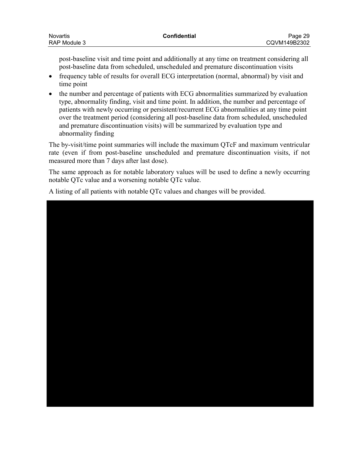<span id="page-28-0"></span>post-baseline visit and time point and additionally at any time on treatment considering all post-baseline data from scheduled, unscheduled and premature discontinuation visits

- frequency table of results for overall ECG interpretation (normal, abnormal) by visit and time point
- the number and percentage of patients with ECG abnormalities summarized by evaluation type, abnormality finding, visit and time point. In addition, the number and percentage of patients with newly occurring or persistent/recurrent ECG abnormalities at any time point over the treatment period (considering all post-baseline data from scheduled, unscheduled and premature discontinuation visits) will be summarized by evaluation type and abnormality finding

The by-visit/time point summaries will include the maximum QTcF and maximum ventricular rate (even if from post-baseline unscheduled and premature discontinuation visits, if not measured more than 7 days after last dose).

The same approach as for notable laboratory values will be used to define a newly occurring notable QTc value and a worsening notable QTc value.

A listing of all patients with notable QTc values and changes will be provided.

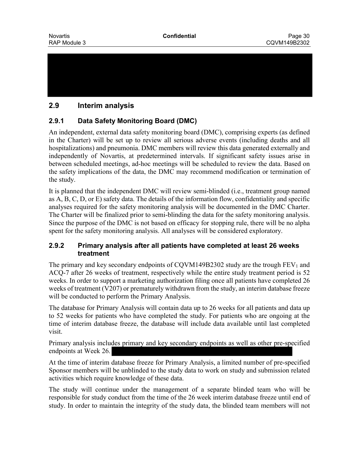## <span id="page-29-0"></span>**2.9 Interim analysis**

## **2.9.1 Data Safety Monitoring Board (DMC)**

An independent, external data safety monitoring board (DMC), comprising experts (as defined in the Charter) will be set up to review all serious adverse events (including deaths and all hospitalizations) and pneumonia. DMC members will review this data generated externally and independently of Novartis, at predetermined intervals. If significant safety issues arise in between scheduled meetings, ad-hoc meetings will be scheduled to review the data. Based on the safety implications of the data, the DMC may recommend modification or termination of the study.

It is planned that the independent DMC will review semi-blinded (i.e., treatment group named as A, B, C, D, or E) safety data. The details of the information flow, confidentiality and specific analyses required for the safety monitoring analysis will be documented in the DMC Charter. The Charter will be finalized prior to semi-blinding the data for the safety monitoring analysis. Since the purpose of the DMC is not based on efficacy for stopping rule, there will be no alpha spent for the safety monitoring analysis. All analyses will be considered exploratory.

#### **2.9.2 Primary analysis after all patients have completed at least 26 weeks treatment**

The primary and key secondary endpoints of CQVM149B2302 study are the trough  $FEV<sub>1</sub>$  and ACQ-7 after 26 weeks of treatment, respectively while the entire study treatment period is 52 weeks. In order to support a marketing authorization filing once all patients have completed 26 weeks of treatment (V207) or prematurely withdrawn from the study, an interim database freeze will be conducted to perform the Primary Analysis.

The database for Primary Analysis will contain data up to 26 weeks for all patients and data up to 52 weeks for patients who have completed the study. For patients who are ongoing at the time of interim database freeze, the database will include data available until last completed visit.

Primary analysis includes primary and key secondary endpoints as well as other pre-specified endpoints at Week 26.

At the time of interim database freeze for Primary Analysis, a limited number of pre-specified Sponsor members will be unblinded to the study data to work on study and submission related activities which require knowledge of these data.

The study will continue under the management of a separate blinded team who will be responsible for study conduct from the time of the 26 week interim database freeze until end of study. In order to maintain the integrity of the study data, the blinded team members will not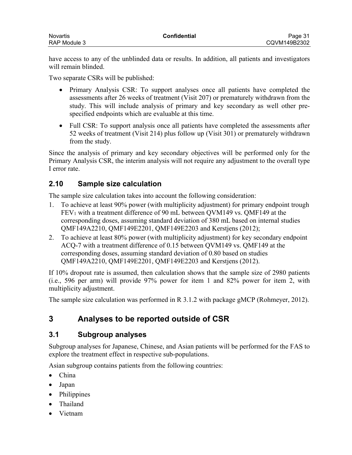<span id="page-30-0"></span>have access to any of the unblinded data or results. In addition, all patients and investigators will remain blinded.

Two separate CSRs will be published:

- Primary Analysis CSR: To support analyses once all patients have completed the assessments after 26 weeks of treatment (Visit 207) or prematurely withdrawn from the study. This will include analysis of primary and key secondary as well other prespecified endpoints which are evaluable at this time.
- Full CSR: To support analysis once all patients have completed the assessments after 52 weeks of treatment (Visit 214) plus follow up (Visit 301) or prematurely withdrawn from the study.

Since the analysis of primary and key secondary objectives will be performed only for the Primary Analysis CSR, the interim analysis will not require any adjustment to the overall type I error rate.

## **2.10 Sample size calculation**

The sample size calculation takes into account the following consideration:

- 1. To achieve at least 90% power (with multiplicity adjustment) for primary endpoint trough FEV<sup>1</sup> with a treatment difference of 90 mL between QVM149 vs. QMF149 at the corresponding doses, assuming standard deviation of 380 mL based on internal studies QMF149A2210, QMF149E2201, QMF149E2203 and Kerstjens (2012);
- 2. To achieve at least 80% power (with multiplicity adjustment) for key secondary endpoint ACQ-7 with a treatment difference of 0.15 between QVM149 vs. QMF149 at the corresponding doses, assuming standard deviation of 0.80 based on studies QMF149A2210, QMF149E2201, QMF149E2203 and Kerstjens (2012).

If 10% dropout rate is assumed, then calculation shows that the sample size of 2980 patients (i.e., 596 per arm) will provide 97% power for item 1 and 82% power for item 2, with multiplicity adjustment.

The sample size calculation was performed in R 3.1.2 with package gMCP (Rohmeyer, 2012).

# **3 Analyses to be reported outside of CSR**

## **3.1 Subgroup analyses**

Subgroup analyses for Japanese, Chinese, and Asian patients will be performed for the FAS to explore the treatment effect in respective sub-populations.

Asian subgroup contains patients from the following countries:

- China
- Japan
- Philippines
- Thailand
- Vietnam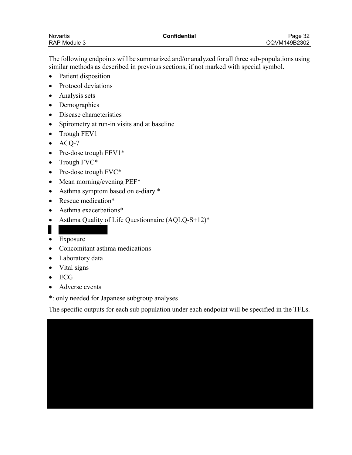<span id="page-31-0"></span>

| <b>Novartis</b> | <b>Confidential</b> | Page 32      |
|-----------------|---------------------|--------------|
| RAP Module 3    |                     | CQVM149B2302 |

The following endpoints will be summarized and/or analyzed for all three sub-populations using similar methods as described in previous sections, if not marked with special symbol.

- Patient disposition
- Protocol deviations
- Analysis sets
- Demographics
- Disease characteristics
- Spirometry at run-in visits and at baseline
- Trough FEV1
- $\bullet$  ACQ-7
- Pre-dose trough FEV1\*
- Trough FVC\*
- Pre-dose trough FVC\*
- Mean morning/evening PEF\*
- Asthma symptom based on e-diary  $*$
- Rescue medication\*
- Asthma exacerbations\*
- Asthma Quality of Life Questionnaire (AQLQ-S+12)\*
- 88 • Exposure
- Concomitant asthma medications
- Laboratory data
- Vital signs
- $\bullet$  ECG
- Adverse events
- \*: only needed for Japanese subgroup analyses

The specific outputs for each sub population under each endpoint will be specified in the TFLs.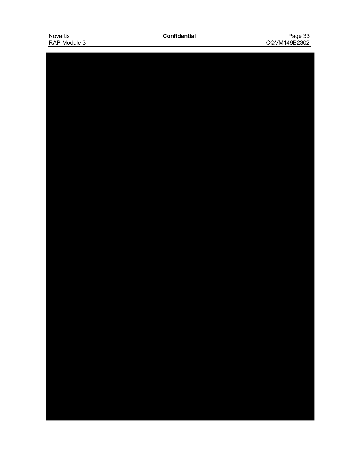<span id="page-32-0"></span>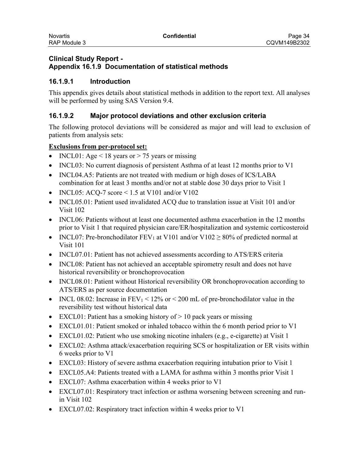#### <span id="page-33-0"></span>**Clinical Study Report -**

## **Appendix 16.1.9 Documentation of statistical methods**

## **16.1.9.1 Introduction**

This appendix gives details about statistical methods in addition to the report text. All analyses will be performed by using SAS Version 9.4.

## **16.1.9.2 Major protocol deviations and other exclusion criteria**

The following protocol deviations will be considered as major and will lead to exclusion of patients from analysis sets:

#### **Exclusions from per-protocol set:**

- INCL01: Age  $\leq$  18 years or  $>$  75 years or missing
- INCL03: No current diagnosis of persistent Asthma of at least 12 months prior to V1
- INCL04.A5: Patients are not treated with medium or high doses of ICS/LABA combination for at least 3 months and/or not at stable dose 30 days prior to Visit 1
- $\bullet$  INCL05: ACQ-7 score < 1.5 at V101 and/or V102
- INCL05.01: Patient used invalidated ACQ due to translation issue at Visit 101 and/or Visit 102
- INCL06: Patients without at least one documented asthma exacerbation in the 12 months prior to Visit 1 that required physician care/ER/hospitalization and systemic corticosteroid
- INCL07: Pre-bronchodilator  $FEV_1$  at V101 and/or V102  $\geq$  80% of predicted normal at Visit 101
- INCL07.01: Patient has not achieved assessments according to ATS/ERS criteria
- INCL08: Patient has not achieved an acceptable spirometry result and does not have historical reversibility or bronchoprovocation
- INCL08.01: Patient without Historical reversibility OR bronchoprovocation according to ATS/ERS as per source documentation
- INCL 08.02: Increase in  $FEV_1 < 12\%$  or  $< 200$  mL of pre-bronchodilator value in the reversibility test without historical data
- EXCL01: Patient has a smoking history of  $> 10$  pack years or missing
- EXCL01.01: Patient smoked or inhaled tobacco within the 6 month period prior to V1
- EXCL01.02: Patient who use smoking nicotine inhalers (e.g., e-cigarette) at Visit 1
- EXCL02: Asthma attack/exacerbation requiring SCS or hospitalization or ER visits within 6 weeks prior to V1
- EXCL03: History of severe asthma exacerbation requiring intubation prior to Visit 1
- EXCL05.A4: Patients treated with a LAMA for asthma within 3 months prior Visit 1
- EXCL07: Asthma exacerbation within 4 weeks prior to V1
- EXCL07.01: Respiratory tract infection or asthma worsening between screening and runin Visit 102
- EXCL07.02: Respiratory tract infection within 4 weeks prior to V1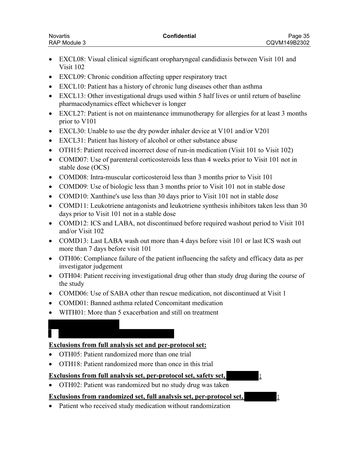- EXCL08: Visual clinical significant oropharyngeal candidiasis between Visit 101 and Visit 102
- EXCL09: Chronic condition affecting upper respiratory tract
- EXCL10: Patient has a history of chronic lung diseases other than asthma
- EXCL13: Other investigational drugs used within 5 half lives or until return of baseline pharmacodynamics effect whichever is longer
- EXCL27: Patient is not on maintenance immunotherapy for allergies for at least 3 months prior to V101
- EXCL30: Unable to use the dry powder inhaler device at V101 and/or V201
- EXCL31: Patient has history of alcohol or other substance abuse
- OTH15: Patient received incorrect dose of run-in medication (Visit 101 to Visit 102)
- COMD07: Use of parenteral corticosteroids less than 4 weeks prior to Visit 101 not in stable dose (OCS)
- COMD08: Intra-muscular corticosteroid less than 3 months prior to Visit 101
- COMD09: Use of biologic less than 3 months prior to Visit 101 not in stable dose
- COMD10: Xanthine's use less than 30 days prior to Visit 101 not in stable dose
- COMD11: Leukotriene antagonists and leukotriene synthesis inhibitors taken less than 30 days prior to Visit 101 not in a stable dose
- COMD12: ICS and LABA, not discontinued before required washout period to Visit 101 and/or Visit 102
- COMD13: Last LABA wash out more than 4 days before visit 101 or last ICS wash out more than 7 days before visit 101
- OTH06: Compliance failure of the patient influencing the safety and efficacy data as per investigator judgement
- OTH04: Patient receiving investigational drug other than study drug during the course of the study
- COMD06: Use of SABA other than rescue medication, not discontinued at Visit 1
- COMD01: Banned asthma related Concomitant medication
- WITH01: More than 5 exacerbation and still on treatment

## **Exclusions from full analysis set and per-protocol set:**

- OTH05: Patient randomized more than one trial
- OTH18: Patient randomized more than once in this trial

## **Exclusions from full analysis set, per-protocol set, safety set,**

• OTH02: Patient was randomized but no study drug was taken

## **Exclusions from randomized set, full analysis set, per-protocol set,**  $\cdot$  **:**

• Patient who received study medication without randomization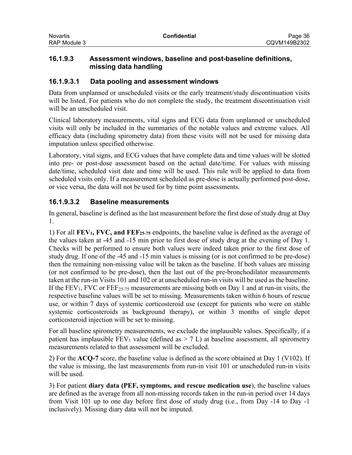<span id="page-35-0"></span>

| <b>Novartis</b> | <b>Confidential</b> | Page 36      |
|-----------------|---------------------|--------------|
| RAP Module 3    |                     | CQVM149B2302 |

#### **16.1.9.3 Assessment windows, baseline and post-baseline definitions, missing data handling**

#### **16.1.9.3.1 Data pooling and assessment windows**

Data from unplanned or unscheduled visits or the early treatment/study discontinuation visits will be listed. For patients who do not complete the study, the treatment discontinuation visit will be an unscheduled visit.

Clinical laboratory measurements, vital signs and ECG data from unplanned or unscheduled visits will only be included in the summaries of the notable values and extreme values. All efficacy data (including spirometry data) from these visits will not be used for missing data imputation unless specified otherwise.

Laboratory, vital signs, and ECG values that have complete data and time values will be slotted into pre- or post-dose assessment based on the actual date/time. For values with missing date/time, scheduled visit date and time will be used. This rule will be applied to data from scheduled visits only. If a measurement scheduled as pre-dose is actually performed post-dose, or vice versa, the data will not be used for by time point assessments.

#### **16.1.9.3.2 Baseline measurements**

In general, baseline is defined as the last measurement before the first dose of study drug at Day 1.

1) For all **FEV1, FVC, and FEF25-75** endpoints, the baseline value is defined as the average of the values taken at -45 and -15 min prior to first dose of study drug at the evening of Day 1. Checks will be performed to ensure both values were indeed taken prior to the first dose of study drug. If one of the -45 and -15 min values is missing (or is not confirmed to be pre-dose) then the remaining non-missing value will be taken as the baseline. If both values are missing (or not confirmed to be pre-dose), then the last out of the pre-bronchodilator measurements taken at the run-in Visits 101 and 102 or at unscheduled run-in visits will be used as the baseline. If the FEV<sub>1</sub>, FVC or FEF<sub>25-75</sub> measurements are missing both on Day 1 and at run-in visits, the respective baseline values will be set to missing. Measurements taken within 6 hours of rescue use, or within 7 days of systemic corticosteroid use (except for patients who were on stable systemic corticosteroids as background therapy), or within 3 months of single depot corticosteroid injection will be set to missing.

For all baseline spirometry measurements, we exclude the implausible values. Specifically, if a patient has implausible  $FEV_1$  value (defined as  $> 7$  L) at baseline assessment, all spirometry measurements related to that assessment will be excluded.

2) For the **ACQ-7** score, the baseline value is defined as the score obtained at Day 1 (V102). If the value is missing, the last measurements from run-in visit 101 or unscheduled run-in visits will be used.

3) For patient **diary data (PEF, symptoms, and rescue medication use**), the baseline values are defined as the average from all non-missing records taken in the run-in period over 14 days from Visit 101 up to one day before first dose of study drug (i.e., from Day -14 to Day -1 inclusively). Missing diary data will not be imputed.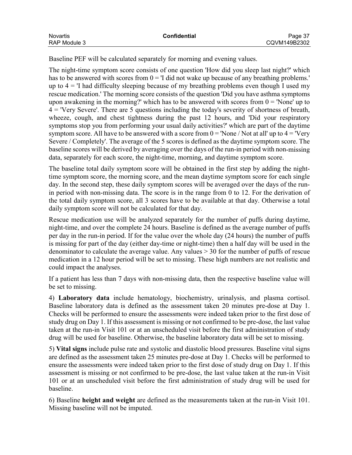Baseline PEF will be calculated separately for morning and evening values.

The night-time symptom score consists of one question 'How did you sleep last night?' which has to be answered with scores from  $0 =$  'I did not wake up because of any breathing problems.' up to  $4 =$  T had difficulty sleeping because of my breathing problems even though I used my rescue medication.' The morning score consists of the question 'Did you have asthma symptoms upon awakening in the morning?' which has to be answered with scores from  $0 =$  'None' up to 4 = 'Very Severe'. There are 5 questions including the today's severity of shortness of breath, wheeze, cough, and chest tightness during the past 12 hours, and 'Did your respiratory symptoms stop you from performing your usual daily activities?' which are part of the daytime symptom score. All have to be answered with a score from  $0 =$  'None / Not at all' up to  $4 =$  'Very Severe / Completely'. The average of the 5 scores is defined as the daytime symptom score. The baseline scores will be derived by averaging over the days of the run-in period with non-missing data, separately for each score, the night-time, morning, and daytime symptom score.

The baseline total daily symptom score will be obtained in the first step by adding the nighttime symptom score, the morning score, and the mean daytime symptom score for each single day. In the second step, these daily symptom scores will be averaged over the days of the runin period with non-missing data. The score is in the range from 0 to 12. For the derivation of the total daily symptom score, all 3 scores have to be available at that day. Otherwise a total daily symptom score will not be calculated for that day.

Rescue medication use will be analyzed separately for the number of puffs during daytime, night-time, and over the complete 24 hours. Baseline is defined as the average number of puffs per day in the run-in period. If for the value over the whole day (24 hours) the number of puffs is missing for part of the day (either day-time or night-time) then a half day will be used in the denominator to calculate the average value. Any values > 30 for the number of puffs of rescue medication in a 12 hour period will be set to missing. These high numbers are not realistic and could impact the analyses.

If a patient has less than 7 days with non-missing data, then the respective baseline value will be set to missing.

4) **Laboratory data** include hematology, biochemistry, urinalysis, and plasma cortisol. Baseline laboratory data is defined as the assessment taken 20 minutes pre-dose at Day 1. Checks will be performed to ensure the assessments were indeed taken prior to the first dose of study drug on Day 1. If this assessment is missing or not confirmed to be pre-dose, the last value taken at the run-in Visit 101 or at an unscheduled visit before the first administration of study drug will be used for baseline. Otherwise, the baseline laboratory data will be set to missing.

5) **Vital signs** include pulse rate and systolic and diastolic blood pressures. Baseline vital signs are defined as the assessment taken 25 minutes pre-dose at Day 1. Checks will be performed to ensure the assessments were indeed taken prior to the first dose of study drug on Day 1. If this assessment is missing or not confirmed to be pre-dose, the last value taken at the run-in Visit 101 or at an unscheduled visit before the first administration of study drug will be used for baseline.

6) Baseline **height and weight** are defined as the measurements taken at the run-in Visit 101. Missing baseline will not be imputed.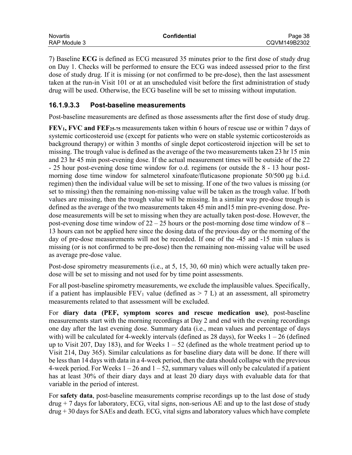<span id="page-37-0"></span>

| Novartis     | <b>Confidential</b> | Page 38      |
|--------------|---------------------|--------------|
| RAP Module 3 |                     | CQVM149B2302 |

7) Baseline **ECG** is defined as ECG measured 35 minutes prior to the first dose of study drug on Day 1. Checks will be performed to ensure the ECG was indeed assessed prior to the first dose of study drug. If it is missing (or not confirmed to be pre-dose), then the last assessment taken at the run-in Visit 101 or at an unscheduled visit before the first administration of study drug will be used. Otherwise, the ECG baseline will be set to missing without imputation.

#### **16.1.9.3.3 Post-baseline measurements**

Post-baseline measurements are defined as those assessments after the first dose of study drug.

**FEV1, FVC and FEF25-75** measurements taken within 6 hours of rescue use or within 7 days of systemic corticosteroid use (except for patients who were on stable systemic corticosteroids as background therapy) or within 3 months of single depot corticosteroid injection will be set to missing. The trough value is defined as the average of the two measurements taken 23 hr 15 min and 23 hr 45 min post-evening dose. If the actual measurement times will be outside of the 22 - 25 hour post-evening dose time window for o.d. regimens (or outside the 8 - 13 hour postmorning dose time window for salmeterol xinafoate/fluticasone propionate 50/500 μg b.i.d. regimen) then the individual value will be set to missing. If one of the two values is missing (or set to missing) then the remaining non-missing value will be taken as the trough value. If both values are missing, then the trough value will be missing. In a similar way pre-dose trough is defined as the average of the two measurements taken 45 min and15 min pre-evening dose. Predose measurements will be set to missing when they are actually taken post-dose. However, the post-evening dose time window of 22 – 25 hours or the post-morning dose time window of 8 – 13 hours can not be applied here since the dosing data of the previous day or the morning of the day of pre-dose measurements will not be recorded. If one of the -45 and -15 min values is missing (or is not confirmed to be pre-dose) then the remaining non-missing value will be used as average pre-dose value.

Post-dose spirometry measurements (i.e., at 5, 15, 30, 60 min) which were actually taken predose will be set to missing and not used for by time point assessments.

For all post-baseline spirometry measurements, we exclude the implausible values. Specifically, if a patient has implausible  $FEV_1$  value (defined as  $> 7$  L) at an assessment, all spirometry measurements related to that assessment will be excluded.

For **diary data (PEF, symptom scores and rescue medication use)**, post-baseline measurements start with the morning recordings at Day 2 and end with the evening recordings one day after the last evening dose. Summary data (i.e., mean values and percentage of days with) will be calculated for 4-weekly intervals (defined as  $28$  days), for Weeks  $1 - 26$  (defined up to Visit 207, Day 183), and for Weeks  $1 - 52$  (defined as the whole treatment period up to Visit 214, Day 365). Similar calculations as for baseline diary data will be done. If there will be less than 14 days with data in a 4-week period, then the data should collapse with the previous 4-week period. For Weeks  $1 - 26$  and  $1 - 52$ , summary values will only be calculated if a patient has at least 30% of their diary days and at least 20 diary days with evaluable data for that variable in the period of interest.

For **safety data**, post-baseline measurements comprise recordings up to the last dose of study drug + 7 days for laboratory, ECG, vital signs, non-serious AE and up to the last dose of study drug + 30 days for SAEs and death. ECG, vital signs and laboratory values which have complete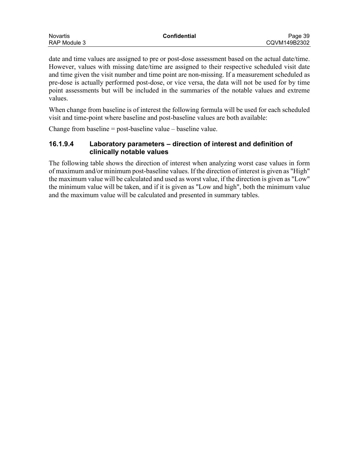<span id="page-38-0"></span>

| Novartis     |  |
|--------------|--|
| RAP Module 3 |  |

date and time values are assigned to pre or post-dose assessment based on the actual date/time. However, values with missing date/time are assigned to their respective scheduled visit date and time given the visit number and time point are non-missing. If a measurement scheduled as pre-dose is actually performed post-dose, or vice versa, the data will not be used for by time point assessments but will be included in the summaries of the notable values and extreme values.

When change from baseline is of interest the following formula will be used for each scheduled visit and time-point where baseline and post-baseline values are both available:

Change from baseline = post-baseline value – baseline value.

#### **16.1.9.4 Laboratory parameters – direction of interest and definition of clinically notable values**

The following table shows the direction of interest when analyzing worst case values in form of maximum and/or minimum post-baseline values. If the direction of interest is given as "High" the maximum value will be calculated and used as worst value, if the direction is given as "Low" the minimum value will be taken, and if it is given as "Low and high", both the minimum value and the maximum value will be calculated and presented in summary tables.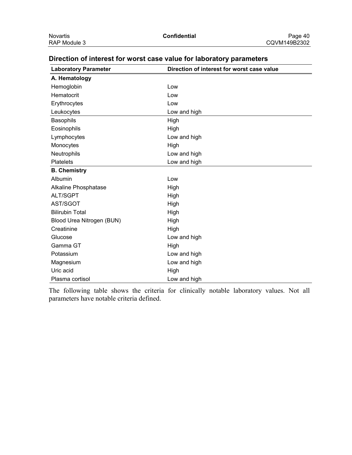| <b>Laboratory Parameter</b> | Direction of interest for worst case value |
|-----------------------------|--------------------------------------------|
| A. Hematology               |                                            |
| Hemoglobin                  | Low                                        |
| Hematocrit                  | Low                                        |
| Erythrocytes                | Low                                        |
| Leukocytes                  | Low and high                               |
| <b>Basophils</b>            | High                                       |
| Eosinophils                 | High                                       |
| Lymphocytes                 | Low and high                               |
| Monocytes                   | High                                       |
| Neutrophils                 | Low and high                               |
| <b>Platelets</b>            | Low and high                               |
| <b>B. Chemistry</b>         |                                            |
| Albumin                     | Low                                        |
| Alkaline Phosphatase        | High                                       |
| ALT/SGPT                    | High                                       |
| AST/SGOT                    | High                                       |
| <b>Bilirubin Total</b>      | High                                       |
| Blood Urea Nitrogen (BUN)   | High                                       |
| Creatinine                  | High                                       |
| Glucose                     | Low and high                               |
| Gamma GT                    | High                                       |
| Potassium                   | Low and high                               |
| Magnesium                   | Low and high                               |
| Uric acid                   | High                                       |
| Plasma cortisol             | Low and high                               |

#### **Direction of interest for worst case value for laboratory parameters**

The following table shows the criteria for clinically notable laboratory values. Not all parameters have notable criteria defined.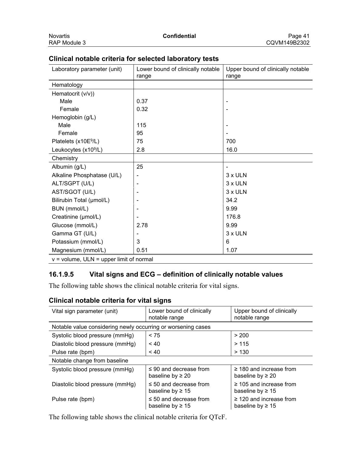| Laboratory parameter (unit)               | Lower bound of clinically notable<br>range | Upper bound of clinically notable<br>range |
|-------------------------------------------|--------------------------------------------|--------------------------------------------|
| Hematology                                |                                            |                                            |
| Hematocrit (v/v))                         |                                            |                                            |
| Male                                      | 0.37                                       |                                            |
| Female                                    | 0.32                                       |                                            |
| Hemoglobin (g/L)                          |                                            |                                            |
| Male                                      | 115                                        |                                            |
| Female                                    | 95                                         |                                            |
| Platelets (x10E <sup>9</sup> /L)          | 75                                         | 700                                        |
| Leukocytes $(x109/L)$                     | 2.8                                        | 16.0                                       |
| Chemistry                                 |                                            |                                            |
| Albumin (g/L)                             | 25                                         |                                            |
| Alkaline Phosphatase (U/L)                |                                            | $3 \times$ ULN                             |
| ALT/SGPT (U/L)                            |                                            | $3 \times$ ULN                             |
| AST/SGOT (U/L)                            |                                            | $3 \times$ ULN                             |
| Bilirubin Total (µmol/L)                  |                                            | 34.2                                       |
| BUN (mmol/L)                              |                                            | 9.99                                       |
| Creatinine (µmol/L)                       |                                            | 176.8                                      |
| Glucose (mmol/L)                          | 2.78                                       | 9.99                                       |
| Gamma GT (U/L)                            |                                            | 3 x ULN                                    |
| Potassium (mmol/L)                        | 3                                          | 6                                          |
| Magnesium (mmol/L)                        | 0.51                                       | 1.07                                       |
| $v =$ volume, ULN = upper limit of normal |                                            |                                            |

## <span id="page-40-0"></span>**Clinical notable criteria for selected laboratory tests**

## **16.1.9.5 Vital signs and ECG – definition of clinically notable values**

The following table shows the clinical notable criteria for vital signs.

| Vital sign parameter (unit)                                  | Lower bound of clinically<br>notable range           | Upper bound of clinically<br>notable range            |  |
|--------------------------------------------------------------|------------------------------------------------------|-------------------------------------------------------|--|
| Notable value considering newly occurring or worsening cases |                                                      |                                                       |  |
| Systolic blood pressure (mmHg)                               | < 75                                                 | > 200                                                 |  |
| Diastolic blood pressure (mmHg)                              | ~< 40                                                | >115                                                  |  |
| Pulse rate (bpm)                                             | ~< 40                                                | >130                                                  |  |
| Notable change from baseline                                 |                                                      |                                                       |  |
| Systolic blood pressure (mmHg)                               | $\leq$ 90 and decrease from<br>baseline by $\geq 20$ | $\geq$ 180 and increase from<br>baseline by $\geq 20$ |  |
| Diastolic blood pressure (mmHg)                              | $\leq$ 50 and decrease from<br>baseline by $\geq 15$ | $\geq$ 105 and increase from<br>baseline by $\geq 15$ |  |
| Pulse rate (bpm)                                             | $\leq$ 50 and decrease from<br>baseline by $\geq 15$ | $\geq$ 120 and increase from<br>baseline by $\geq 15$ |  |

The following table shows the clinical notable criteria for QTcF.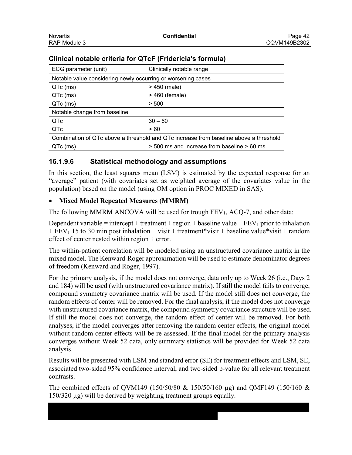| ECG parameter (unit)                                                                  | Clinically notable range                    |  |
|---------------------------------------------------------------------------------------|---------------------------------------------|--|
| Notable value considering newly occurring or worsening cases                          |                                             |  |
| QTc (ms)                                                                              | > 450 (male)                                |  |
| $QTc$ (ms)                                                                            | $>460$ (female)                             |  |
| QTc (ms)                                                                              | > 500                                       |  |
| Notable change from baseline                                                          |                                             |  |
| QTc                                                                                   | $30 - 60$                                   |  |
| QTc                                                                                   | >60                                         |  |
| Combination of QTc above a threshold and QTc increase from baseline above a threshold |                                             |  |
| QTc (ms)                                                                              | > 500 ms and increase from baseline > 60 ms |  |

#### <span id="page-41-0"></span>**Clinical notable criteria for QTcF (Fridericia's formula)**

## **16.1.9.6 Statistical methodology and assumptions**

In this section, the least squares mean (LSM) is estimated by the expected response for an "average" patient (with covariates set as weighted average of the covariates value in the population) based on the model (using OM option in PROC MIXED in SAS).

#### **Mixed Model Repeated Measures (MMRM)**

The following MMRM ANCOVA will be used for trough  $FEV<sub>1</sub>$ , ACQ-7, and other data:

Dependent variable = intercept + treatment + region + baseline value +  $FEV<sub>1</sub>$  prior to inhalation  $+ FEV<sub>1</sub>$  15 to 30 min post inhalation + visit + treatment\*visit + baseline value\*visit + random effect of center nested within region + error.

The within-patient correlation will be modeled using an unstructured covariance matrix in the mixed model. The Kenward-Roger approximation will be used to estimate denominator degrees of freedom (Kenward and Roger, 1997).

For the primary analysis, if the model does not converge, data only up to Week 26 (i.e., Days 2 and 184) will be used (with unstructured covariance matrix). If still the model fails to converge, compound symmetry covariance matrix will be used. If the model still does not converge, the random effects of center will be removed. For the final analysis, if the model does not converge with unstructured covariance matrix, the compound symmetry covariance structure will be used. If still the model does not converge, the random effect of center will be removed. For both analyses, if the model converges after removing the random center effects, the original model without random center effects will be re-assessed. If the final model for the primary analysis converges without Week 52 data, only summary statistics will be provided for Week 52 data analysis.

Results will be presented with LSM and standard error (SE) for treatment effects and LSM, SE, associated two-sided 95% confidence interval, and two-sided p-value for all relevant treatment contrasts.

The combined effects of QVM149 (150/50/80 & 150/50/160 µg) and QMF149 (150/160 & 150/320 µg) will be derived by weighting treatment groups equally.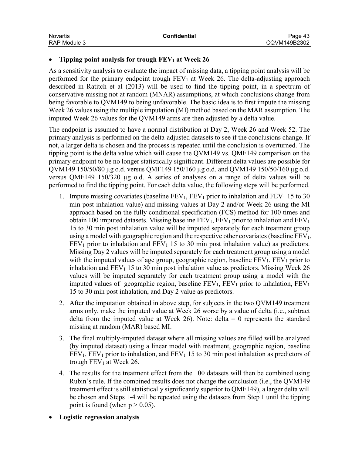#### **Tipping point analysis for trough FEV<sup>1</sup> at Week 26**

As a sensitivity analysis to evaluate the impact of missing data, a tipping point analysis will be performed for the primary endpoint trough  $FEV<sub>1</sub>$  at Week 26. The delta-adjusting approach described in Ratitch et al (2013) will be used to find the tipping point, in a spectrum of conservative missing not at random (MNAR) assumptions, at which conclusions change from being favorable to QVM149 to being unfavorable. The basic idea is to first impute the missing Week 26 values using the multiple imputation (MI) method based on the MAR assumption. The imputed Week 26 values for the QVM149 arms are then adjusted by a delta value.

The endpoint is assumed to have a normal distribution at Day 2, Week 26 and Week 52. The primary analysis is performed on the delta-adjusted datasets to see if the conclusions change. If not, a larger delta is chosen and the process is repeated until the conclusion is overturned. The tipping point is the delta value which will cause the QVM149 vs. QMF149 comparison on the primary endpoint to be no longer statistically significant. Different delta values are possible for QVM149 150/50/80 µg o.d. versus QMF149 150/160 µg o.d. and QVM149 150/50/160 µg o.d. versus QMF149 150/320 µg o.d. A series of analyses on a range of delta values will be performed to find the tipping point. For each delta value, the following steps will be performed.

- 1. Impute missing covariates (baseline  $FEV_1$ ,  $FEV_1$  prior to inhalation and  $FEV_1$  15 to 30 min post inhalation value) and missing values at Day 2 and/or Week 26 using the MI approach based on the fully conditional specification (FCS) method for 100 times and obtain 100 imputed datasets. Missing baseline  $FEV_1$ ,  $FEV_1$  prior to inhalation and  $FEV_1$ 15 to 30 min post inhalation value will be imputed separately for each treatment group using a model with geographic region and the respective other covariates (baseline  $FEV<sub>1</sub>$ ,  $FEV<sub>1</sub>$  prior to inhalation and  $FEV<sub>1</sub>$  15 to 30 min post inhalation value) as predictors. Missing Day 2 values will be imputed separately for each treatment group using a model with the imputed values of age group, geographic region, baseline  $FEV<sub>1</sub>, FEV<sub>1</sub>$  prior to inhalation and  $FEV<sub>1</sub>$  15 to 30 min post inhalation value as predictors. Missing Week 26 values will be imputed separately for each treatment group using a model with the imputed values of geographic region, baseline  $FEV_1$ ,  $FEV_1$  prior to inhalation,  $FEV_1$ 15 to 30 min post inhalation, and Day 2 value as predictors.
- 2. After the imputation obtained in above step, for subjects in the two QVM149 treatment arms only, make the imputed value at Week 26 worse by a value of delta (i.e., subtract delta from the imputed value at Week 26). Note: delta  $= 0$  represents the standard missing at random (MAR) based MI.
- 3. The final multiply-imputed dataset where all missing values are filled will be analyzed (by imputed dataset) using a linear model with treatment, geographic region, baseline  $FEV<sub>1</sub>$ ,  $FEV<sub>1</sub>$  prior to inhalation, and  $FEV<sub>1</sub>$  15 to 30 min post inhalation as predictors of trough  $FEV_1$  at Week 26.
- 4. The results for the treatment effect from the 100 datasets will then be combined using Rubin's rule. If the combined results does not change the conclusion (i.e., the QVM149 treatment effect is still statistically significantly superior to QMF149), a larger delta will be chosen and Steps 1-4 will be repeated using the datasets from Step 1 until the tipping point is found (when  $p > 0.05$ ).
- **Logistic regression analysis**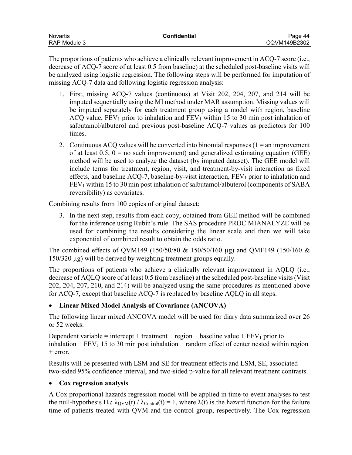The proportions of patients who achieve a clinically relevant improvement in ACQ-7 score (i.e., decrease of ACQ-7 score of at least 0.5 from baseline) at the scheduled post-baseline visits will be analyzed using logistic regression. The following steps will be performed for imputation of missing ACQ-7 data and following logistic regression analysis:

- 1. First, missing ACQ-7 values (continuous) at Visit 202, 204, 207, and 214 will be imputed sequentially using the MI method under MAR assumption. Missing values will be imputed separately for each treatment group using a model with region, baseline ACQ value,  $FEV_1$  prior to inhalation and  $FEV_1$  within 15 to 30 min post inhalation of salbutamol/albuterol and previous post-baseline ACQ-7 values as predictors for 100 times.
- 2. Continuous ACQ values will be converted into binomial responses  $(1 = an$  improvement of at least  $0.5$ ,  $0 =$  no such improvement) and generalized estimating equation (GEE) method will be used to analyze the dataset (by imputed dataset). The GEE model will include terms for treatment, region, visit, and treatment-by-visit interaction as fixed effects, and baseline ACQ-7, baseline-by-visit interaction,  $FEV<sub>1</sub>$  prior to inhalation and  $FEV<sub>1</sub>$  within 15 to 30 min post inhalation of salbutamol/albuterol (components of SABA reversibility) as covariates.

Combining results from 100 copies of original dataset:

3. In the next step, results from each copy, obtained from GEE method will be combined for the inference using Rubin's rule. The SAS procedure PROC MIANALYZE will be used for combining the results considering the linear scale and then we will take exponential of combined result to obtain the odds ratio.

The combined effects of OVM149 (150/50/80 & 150/50/160 µg) and OMF149 (150/160 & 150/320 µg) will be derived by weighting treatment groups equally.

The proportions of patients who achieve a clinically relevant improvement in AQLQ (i.e., decrease of AQLQ score of at least 0.5 from baseline) at the scheduled post-baseline visits(Visit 202, 204, 207, 210, and 214) will be analyzed using the same procedures as mentioned above for ACQ-7, except that baseline ACQ-7 is replaced by baseline AQLQ in all steps.

## **Linear Mixed Model Analysis of Covariance (ANCOVA)**

The following linear mixed ANCOVA model will be used for diary data summarized over 26 or 52 weeks:

Dependent variable = intercept + treatment + region + baseline value +  $FEV<sub>1</sub>$  prior to inhalation +  $FEV<sub>1</sub>$  15 to 30 min post inhalation + random effect of center nested within region  $+$  error.

Results will be presented with LSM and SE for treatment effects and LSM, SE, associated two-sided 95% confidence interval, and two-sided p-value for all relevant treatment contrasts.

## **Cox regression analysis**

A Cox proportional hazards regression model will be applied in time-to-event analyses to test the null-hypothesis H<sub>0</sub>:  $\lambda_{\text{OVM}}(t)$  /  $\lambda_{\text{Control}}(t) = 1$ , where  $\lambda(t)$  is the hazard function for the failure time of patients treated with QVM and the control group, respectively. The Cox regression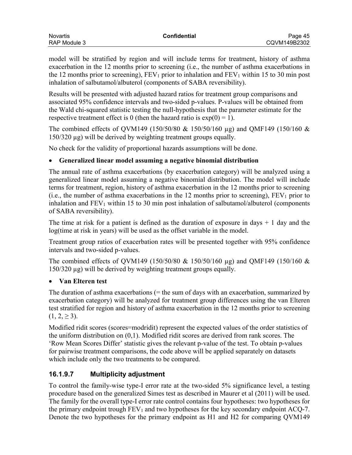<span id="page-44-0"></span>model will be stratified by region and will include terms for treatment, history of asthma exacerbation in the 12 months prior to screening (i.e., the number of asthma exacerbations in the 12 months prior to screening),  $FEV_1$  prior to inhalation and  $FEV_1$  within 15 to 30 min post inhalation of salbutamol/albuterol (components of SABA reversibility).

Results will be presented with adjusted hazard ratios for treatment group comparisons and associated 95% confidence intervals and two-sided p-values. P-values will be obtained from the Wald chi-squared statistic testing the null-hypothesis that the parameter estimate for the respective treatment effect is 0 (then the hazard ratio is  $exp(0) = 1$ ).

The combined effects of QVM149 (150/50/80 & 150/50/160 µg) and QMF149 (150/160 & 150/320 µg) will be derived by weighting treatment groups equally.

No check for the validity of proportional hazards assumptions will be done.

## **Generalized linear model assuming a negative binomial distribution**

The annual rate of asthma exacerbations (by exacerbation category) will be analyzed using a generalized linear model assuming a negative binomial distribution. The model will include terms for treatment, region, history of asthma exacerbation in the 12 months prior to screening (i.e., the number of asthma exacerbations in the 12 months prior to screening),  $FEV<sub>1</sub>$  prior to inhalation and  $FEV<sub>1</sub>$  within 15 to 30 min post inhalation of salbutamol/albuterol (components of SABA reversibility).

The time at risk for a patient is defined as the duration of exposure in days  $+1$  day and the log(time at risk in years) will be used as the offset variable in the model.

Treatment group ratios of exacerbation rates will be presented together with 95% confidence intervals and two-sided p-values.

The combined effects of QVM149 (150/50/80 & 150/50/160 µg) and QMF149 (150/160 & 150/320 µg) will be derived by weighting treatment groups equally.

## **Van Elteren test**

The duration of asthma exacerbations (= the sum of days with an exacerbation, summarized by exacerbation category) will be analyzed for treatment group differences using the van Elteren test stratified for region and history of asthma exacerbation in the 12 months prior to screening  $(1, 2, \geq 3)$ .

Modified ridit scores (scores=modridit) represent the expected values of the order statistics of the uniform distribution on (0,1). Modified ridit scores are derived from rank scores. The 'Row Mean Scores Differ' statistic gives the relevant p-value of the test. To obtain p-values for pairwise treatment comparisons, the code above will be applied separately on datasets which include only the two treatments to be compared.

## **16.1.9.7 Multiplicity adjustment**

To control the family-wise type-I error rate at the two-sided 5% significance level, a testing procedure based on the generalized Simes test as described in Maurer et al (2011) will be used. The family for the overall type-I error rate control contains four hypotheses: two hypotheses for the primary endpoint trough  $FEV_1$  and two hypotheses for the key secondary endpoint ACQ-7. Denote the two hypotheses for the primary endpoint as H1 and H2 for comparing QVM149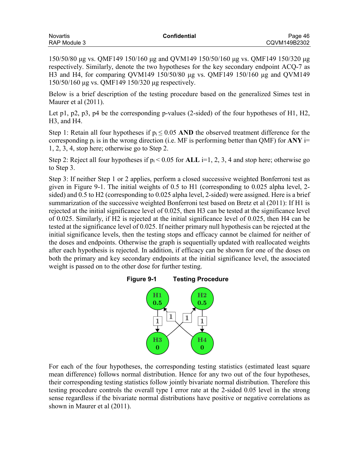| <b>Novartis</b> |  |
|-----------------|--|
| RAP Module 3    |  |

150/50/80 μg vs. QMF149 150/160 μg and QVM149 150/50/160 μg vs. QMF149 150/320 μg respectively. Similarly, denote the two hypotheses for the key secondary endpoint ACQ-7 as H3 and H4, for comparing QVM149 150/50/80 μg vs. QMF149 150/160 μg and QVM149 150/50/160 μg vs. QMF149 150/320 μg respectively.

Below is a brief description of the testing procedure based on the generalized Simes test in Maurer et al (2011).

Let p1, p2, p3, p4 be the corresponding p-values (2-sided) of the four hypotheses of H1, H2, H3, and H4.

Step 1: Retain all four hypotheses if  $p_i \le 0.05$  AND the observed treatment difference for the corresponding  $p_i$  is in the wrong direction (i.e. MF is performing better than QMF) for **ANY** i= 1, 2, 3, 4, stop here; otherwise go to Step 2.

Step 2: Reject all four hypotheses if  $p_i < 0.05$  for **ALL** i=1, 2, 3, 4 and stop here; otherwise go to Step 3.

Step 3: If neither Step 1 or 2 applies, perform a closed successive weighted Bonferroni test as given in Figure 9-1. The initial weights of 0.5 to H1 (corresponding to 0.025 alpha level, 2 sided) and 0.5 to H2 (corresponding to 0.025 alpha level, 2-sided) were assigned. Here is a brief summarization of the successive weighted Bonferroni test based on Bretz et al (2011): If H1 is rejected at the initial significance level of 0.025, then H3 can be tested at the significance level of 0.025. Similarly, if H2 is rejected at the initial significance level of 0.025, then H4 can be tested at the significance level of 0.025. If neither primary null hypothesis can be rejected at the initial significance levels, then the testing stops and efficacy cannot be claimed for neither of the doses and endpoints. Otherwise the graph is sequentially updated with reallocated weights after each hypothesis is rejected. In addition, if efficacy can be shown for one of the doses on both the primary and key secondary endpoints at the initial significance level, the associated weight is passed on to the other dose for further testing.





For each of the four hypotheses, the corresponding testing statistics (estimated least square mean difference) follows normal distribution. Hence for any two out of the four hypotheses, their corresponding testing statistics follow jointly bivariate normal distribution. Therefore this testing procedure controls the overall type I error rate at the 2-sided 0.05 level in the strong sense regardless if the bivariate normal distributions have positive or negative correlations as shown in Maurer et al (2011).